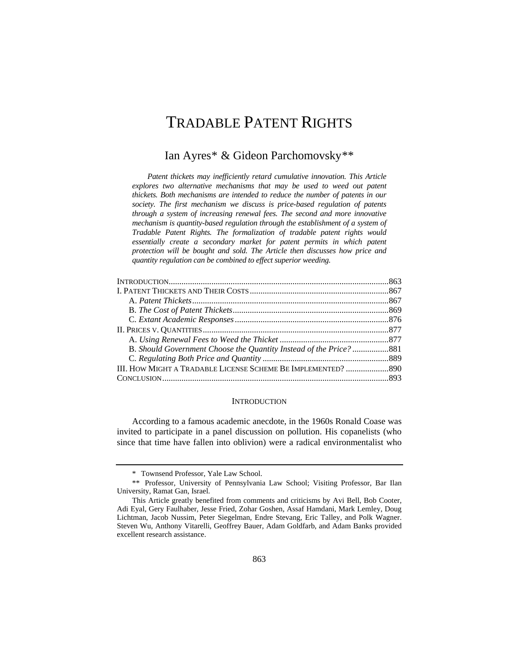# <span id="page-0-2"></span>TRADABLE PATENT RIGHTS

# Ian Ayres[\\*](#page-0-0) & Gideon Parchomovsky[\\*\\*](#page-0-1)

*Patent thickets may inefficiently retard cumulative innovation. This Article explores two alternative mechanisms that may be used to weed out patent thickets. Both mechanisms are intended to reduce the number of patents in our society. The first mechanism we discuss is price-based regulation of patents through a system of increasing renewal fees. The second and more innovative mechanism is quantity-based regulation through the establishment of a system of Tradable Patent Rights. The formalization of tradable patent rights would essentially create a secondary market for patent permits in which patent protection will be bought and sold. The Article then discusses how price and quantity regulation can be combined to effect superior weeding.*

| B. Should Government Choose the Quantity Instead of the Price?881 |  |
|-------------------------------------------------------------------|--|
|                                                                   |  |
| III. HOW MIGHT A TRADABLE LICENSE SCHEME BE IMPLEMENTED? 890      |  |
|                                                                   |  |
|                                                                   |  |

# **INTRODUCTION**

According to a famous academic anecdote, in the 1960s Ronald Coase was invited to participate in a panel discussion on pollution. His copanelists (who since that time have fallen into oblivion) were a radical environmentalist who

<sup>\*</sup> Townsend Professor, Yale Law School.

<span id="page-0-1"></span><span id="page-0-0"></span><sup>\*\*</sup> Professor, University of Pennsylvania Law School; Visiting Professor, Bar Ilan University, Ramat Gan, Israel.<br>This Article greatly benefited from comments and criticisms by Avi Bell, Bob Cooter,

Adi Eyal, Gery Faulhaber, Jesse Fried, Zohar Goshen, Assaf Hamdani, Mark Lemley, Doug Lichtman, Jacob Nussim, Peter Siegelman, Endre Stevang, Eric Talley, and Polk Wagner. Steven Wu, Anthony Vitarelli, Geoffrey Bauer, Adam Goldfarb, and Adam Banks provided excellent research assistance.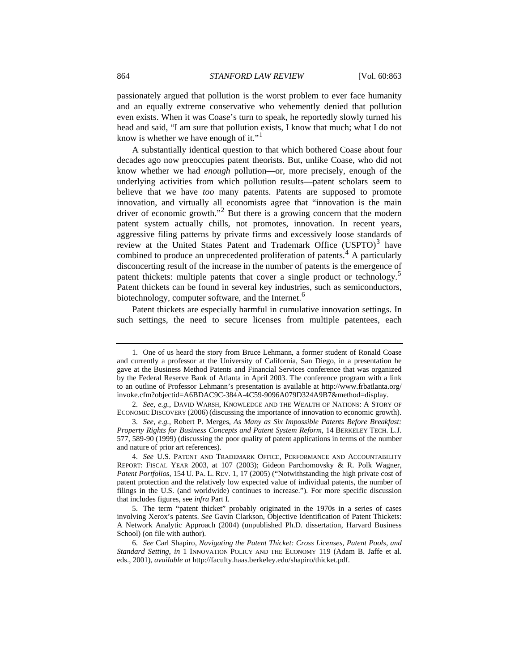passionately argued that pollution is the worst problem to ever face humanity and an equally extreme conservative who vehemently denied that pollution even exists. When it was Coase's turn to speak, he reportedly slowly turned his head and said, "I am sure that pollution exists, I know that much; what I do not know is whether we have enough of it."<sup>[1](#page-1-0)</sup>

A substantially identical question to that which bothered Coase about four decades ago now preoccupies patent theorists. But, unlike Coase, who did not know whether we had *enough* pollution—or, more precisely, enough of the underlying activities from which pollution results—patent scholars seem to believe that we have *too* many patents. Patents are supposed to promote innovation, and virtually all economists agree that "innovation is the main driver of economic growth."<sup>[2](#page-1-1)</sup> But there is a growing concern that the modern patent system actually chills, not promotes, innovation. In recent years, aggressive filing patterns by private firms and excessively loose standards of review at the United States Patent and Trademark Office (USPTO)<sup>[3](#page-1-2)</sup> have combined to produce an unprecedented proliferation of patents.<sup>[4](#page-1-3)</sup> A particularly disconcerting result of the increase in the number of patents is the emergence of patent thickets: multiple patents that cover a single product or technology.<sup>[5](#page-1-4)</sup> Patent thickets can be found in several key industries, such as semiconductors, biotechnology, computer software, and the Internet.<sup>[6](#page-1-5)</sup>

Patent thickets are especially harmful in cumulative innovation settings. In such settings, the need to secure licenses from multiple patentees, each

<span id="page-1-0"></span><sup>1.</sup> One of us heard the story from Bruce Lehmann, a former student of Ronald Coase and currently a professor at the University of California, San Diego, in a presentation he gave at the Business Method Patents and Financial Services conference that was organized by the Federal Reserve Bank of Atlanta in April 2003. The conference program with a link to an outline of Professor Lehmann's presentation is available at http://www.frbatlanta.org/ invoke.cfm?objectid=A6BDAC9C-384A-4C59-9096A079D324A9B7&method=display.

<span id="page-1-1"></span><sup>2.</sup> *See, e.g.*, DAVID WARSH, KNOWLEDGE AND THE WEALTH OF NATIONS: A STORY OF ECONOMIC DISCOVERY (2006) (discussing the importance of innovation to economic growth).

<span id="page-1-2"></span><sup>3.</sup> *See, e.g.*, Robert P. Merges, *As Many as Six Impossible Patents Before Breakfast: Property Rights for Business Concepts and Patent System Reform*, 14 BERKELEY TECH. L.J. 577, 589-90 (1999) (discussing the poor quality of patent applications in terms of the number and nature of prior art references).

<span id="page-1-3"></span><sup>4.</sup> *See* U.S. PATENT AND TRADEMARK OFFICE, PERFORMANCE AND ACCOUNTABILITY REPORT: FISCAL YEAR 2003, at 107 (2003); Gideon Parchomovsky & R. Polk Wagner, *Patent Portfolios*, 154 U. PA. L. REV. 1, 17 (2005) ("Notwithstanding the high private cost of patent protection and the relatively low expected value of individual patents, the number of filings in the U.S. (and worldwide) continues to increase."). For more specific discussion that includes figures, see *infra* Part I*.*

<span id="page-1-4"></span><sup>5.</sup> The term "patent thicket" probably originated in the 1970s in a series of cases involving Xerox's patents. *See* Gavin Clarkson, Objective Identification of Patent Thickets: A Network Analytic Approach (2004) (unpublished Ph.D. dissertation, Harvard Business School) (on file with author).

<span id="page-1-5"></span><sup>6.</sup> *See* Carl Shapiro, *Navigating the Patent Thicket: Cross Licenses, Patent Pools, and Standard Setting*, *in* 1 INNOVATION POLICY AND THE ECONOMY 119 (Adam B. Jaffe et al. eds., 2001), *available at* http://faculty.haas.berkeley.edu/shapiro/thicket.pdf.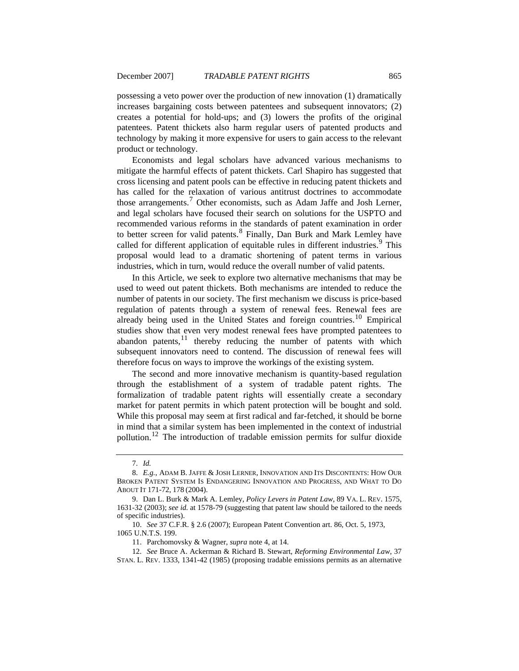possessing a veto power over the production of new innovation (1) dramatically increases bargaining costs between patentees and subsequent innovators; (2) creates a potential for hold-ups; and (3) lowers the profits of the original patentees. Patent thickets also harm regular users of patented products and technology by making it more expensive for users to gain access to the relevant product or technology.

Economists and legal scholars have advanced various mechanisms to mitigate the harmful effects of patent thickets. Carl Shapiro has suggested that cross licensing and patent pools can be effective in reducing patent thickets and has called for the relaxation of various antitrust doctrines to accommodate those arrangements.<sup>[7](#page-2-0)</sup> Other economists, such as Adam Jaffe and Josh Lerner, and legal scholars have focused their search on solutions for the USPTO and recommended various reforms in the standards of patent examination in order to better screen for valid patents.<sup>[8](#page-2-1)</sup> Finally, Dan Burk and Mark Lemley have called for different application of equitable rules in different industries.<sup>[9](#page-2-2)</sup> This proposal would lead to a dramatic shortening of patent terms in various industries, which in turn, would reduce the overall number of valid patents.

In this Article, we seek to explore two alternative mechanisms that may be used to weed out patent thickets. Both mechanisms are intended to reduce the number of patents in our society. The first mechanism we discuss is price-based regulation of patents through a system of renewal fees. Renewal fees are already being used in the United States and foreign countries.<sup>[10](#page-2-3)</sup> Empirical studies show that even very modest renewal fees have prompted patentees to abandon patents, $11$  thereby reducing the number of patents with which subsequent innovators need to contend. The discussion of renewal fees will therefore focus on ways to improve the workings of the existing system.

The second and more innovative mechanism is quantity-based regulation through the establishment of a system of tradable patent rights. The formalization of tradable patent rights will essentially create a secondary market for patent permits in which patent protection will be bought and sold. While this proposal may seem at first radical and far-fetched, it should be borne in mind that a similar system has been implemented in the context of industrial pollution.[12](#page-2-5) The introduction of tradable emission permits for sulfur dioxide

<span id="page-2-3"></span>10. *See* 37 C.F.R. § 2.6 (2007); European Patent Convention art. 86, Oct. 5, 1973, 1065 U.N.T.S. 199.

11. Parchomovsky & Wagner, *supra* note 4, at 14.

<sup>7.</sup> *Id.*

<span id="page-2-1"></span><span id="page-2-0"></span><sup>8.</sup> *E.g.*, ADAM B. JAFFE & JOSH LERNER, INNOVATION AND ITS DISCONTENTS: HOW OUR BROKEN PATENT SYSTEM IS ENDANGERING INNOVATION AND PROGRESS, AND WHAT TO DO ABOUT IT 171-72, 178 (2004).

<span id="page-2-2"></span><sup>9.</sup> Dan L. Burk & Mark A. Lemley, *Policy Levers in Patent Law*, 89 VA. L. REV. 1575, 1631-32 (2003); *see id.* at 1578-79 (suggesting that patent law should be tailored to the needs of specific industries).

<span id="page-2-5"></span><span id="page-2-4"></span><sup>12.</sup> *See* Bruce A. Ackerman & Richard B. Stewart, *Reforming Environmental Law*, 37 STAN. L. REV. 1333, 1341-42 (1985) (proposing tradable emissions permits as an alternative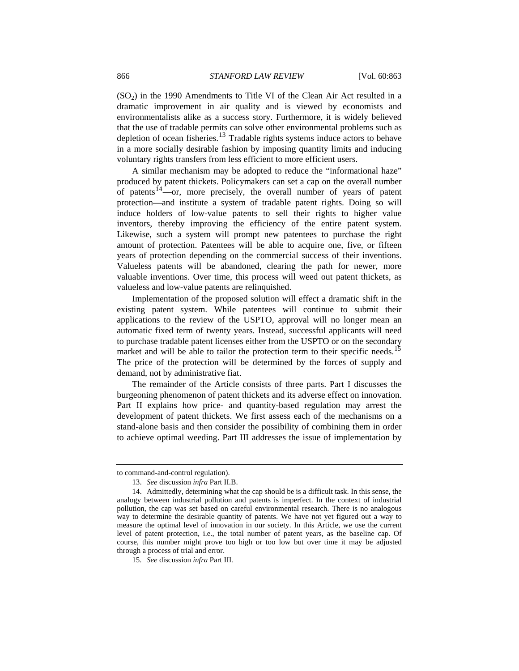$(SO<sub>2</sub>)$  in the 1990 Amendments to Title VI of the Clean Air Act resulted in a dramatic improvement in air quality and is viewed by economists and environmentalists alike as a success story. Furthermore, it is widely believed that the use of tradable permits can solve other environmental problems such as depletion of ocean fisheries.<sup>[13](#page-3-0)</sup> Tradable rights systems induce actors to behave in a more socially desirable fashion by imposing quantity limits and inducing voluntary rights transfers from less efficient to more efficient users.

A similar mechanism may be adopted to reduce the "informational haze" produced by patent thickets. Policymakers can set a cap on the overall number of patents<sup>[14](#page-3-1)</sup>—or, more precisely, the overall number of years of patent protection—and institute a system of tradable patent rights. Doing so will induce holders of low-value patents to sell their rights to higher value inventors, thereby improving the efficiency of the entire patent system. Likewise, such a system will prompt new patentees to purchase the right amount of protection. Patentees will be able to acquire one, five, or fifteen years of protection depending on the commercial success of their inventions. Valueless patents will be abandoned, clearing the path for newer, more valuable inventions. Over time, this process will weed out patent thickets, as valueless and low-value patents are relinquished.

Implementation of the proposed solution will effect a dramatic shift in the existing patent system. While patentees will continue to submit their applications to the review of the USPTO, approval will no longer mean an automatic fixed term of twenty years. Instead, successful applicants will need to purchase tradable patent licenses either from the USPTO or on the secondary market and will be able to tailor the protection term to their specific needs.<sup>[15](#page-3-2)</sup> The price of the protection will be determined by the forces of supply and demand, not by administrative fiat.

The remainder of the Article consists of three parts. Part I discusses the burgeoning phenomenon of patent thickets and its adverse effect on innovation. Part II explains how price- and quantity-based regulation may arrest the development of patent thickets. We first assess each of the mechanisms on a stand-alone basis and then consider the possibility of combining them in order to achieve optimal weeding. Part III addresses the issue of implementation by

<span id="page-3-0"></span>to command-and-control regulation).

<sup>13.</sup> *See* discussion *infra* Part II.B.

<span id="page-3-1"></span><sup>14.</sup> Admittedly, determining what the cap should be is a difficult task. In this sense, the analogy between industrial pollution and patents is imperfect. In the context of industrial pollution, the cap was set based on careful environmental research. There is no analogous way to determine the desirable quantity of patents. We have not yet figured out a way to measure the optimal level of innovation in our society. In this Article, we use the current level of patent protection, i.e., the total number of patent years, as the baseline cap. Of course, this number might prove too high or too low but over time it may be adjusted through a process of trial and error.

<span id="page-3-2"></span><sup>15.</sup> *See* discussion *infra* Part III*.*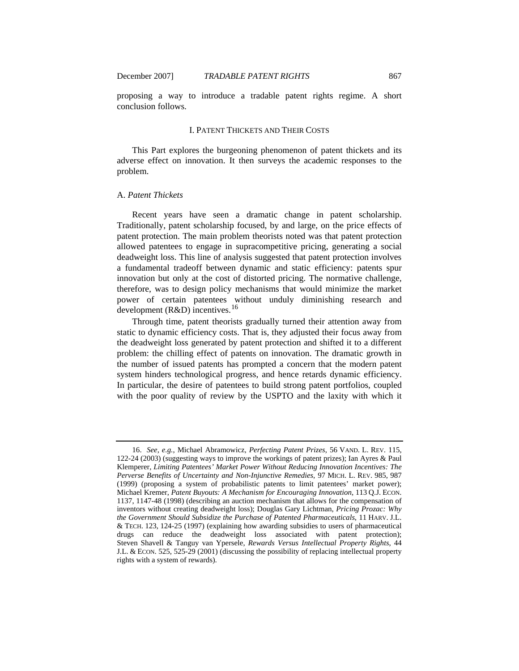<span id="page-4-0"></span>

proposing a way to introduce a tradable patent rights regime. A short conclusion follows.

### I. PATENT THICKETS AND THEIR COSTS

This Part explores the burgeoning phenomenon of patent thickets and its adverse effect on innovation. It then surveys the academic responses to the problem.

# A. *Patent Thickets*

Recent years have seen a dramatic change in patent scholarship. Traditionally, patent scholarship focused, by and large, on the price effects of patent protection. The main problem theorists noted was that patent protection allowed patentees to engage in supracompetitive pricing, generating a social deadweight loss. This line of analysis suggested that patent protection involves a fundamental tradeoff between dynamic and static efficiency: patents spur innovation but only at the cost of distorted pricing. The normative challenge, therefore, was to design policy mechanisms that would minimize the market power of certain patentees without unduly diminishing research and development ( $R&D$ ) incentives.<sup>[16](#page-4-1)</sup>

Through time, patent theorists gradually turned their attention away from static to dynamic efficiency costs. That is, they adjusted their focus away from the deadweight loss generated by patent protection and shifted it to a different problem: the chilling effect of patents on innovation. The dramatic growth in the number of issued patents has prompted a concern that the modern patent system hinders technological progress, and hence retards dynamic efficiency. In particular, the desire of patentees to build strong patent portfolios, coupled with the poor quality of review by the USPTO and the laxity with which it

<span id="page-4-1"></span><sup>16.</sup> *See, e.g.*, Michael Abramowicz, *Perfecting Patent Prizes*, 56 VAND. L. REV. 115, 122-24 (2003) (suggesting ways to improve the workings of patent prizes); Ian Ayres & Paul Klemperer, *Limiting Patentees' Market Power Without Reducing Innovation Incentives: The Perverse Benefits of Uncertainty and Non-Injunctive Remedies*, 97 MICH. L. REV. 985, 987 (1999) (proposing a system of probabilistic patents to limit patentees' market power); Michael Kremer, *Patent Buyouts: A Mechanism for Encouraging Innovation*, 113 Q.J. ECON. 1137, 1147-48 (1998) (describing an auction mechanism that allows for the compensation of inventors without creating deadweight loss); Douglas Gary Lichtman, *Pricing Prozac: Why the Government Should Subsidize the Purchase of Patented Pharmaceuticals*, 11 HARV. J.L. & TECH. 123, 124-25 (1997) (explaining how awarding subsidies to users of pharmaceutical drugs can reduce the deadweight loss associated with patent protection); Steven Shavell & Tanguy van Ypersele, *Rewards Versus Intellectual Property Rights*, 44 J.L. & ECON. 525, 525-29 (2001) (discussing the possibility of replacing intellectual property rights with a system of rewards).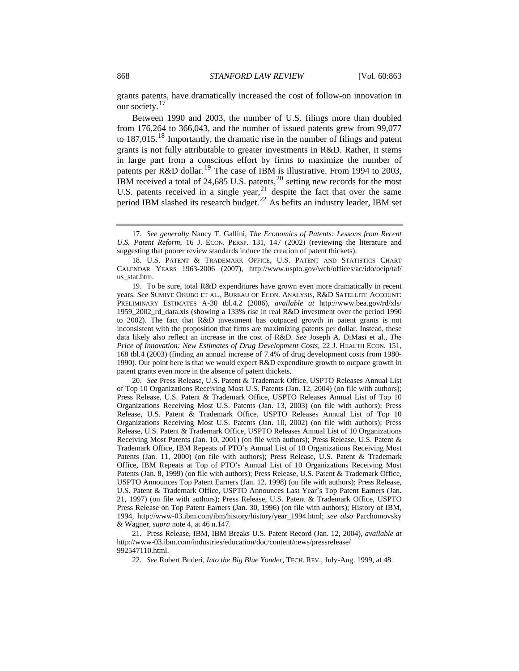grants patents, have dramatically increased the cost of follow-on innovation in our society.<sup>[17](#page-5-0)</sup>

Between 1990 and 2003, the number of U.S. filings more than doubled from 176,264 to 366,043, and the number of issued patents grew from 99,077 to  $187,015$  $187,015$ .<sup>18</sup> Importantly, the dramatic rise in the number of filings and patent grants is not fully attributable to greater investments in R&D. Rather, it stems in large part from a conscious effort by firms to maximize the number of patents per R&D dollar.[19](#page-5-2) The case of IBM is illustrative. From 1994 to 2003, IBM received a total of 24,685 U.S. patents,<sup>[20](#page-5-3)</sup> setting new records for the most U.S. patents received in a single year,  $2<sup>1</sup>$  despite the fact that over the same period IBM slashed its research budget.<sup>[22](#page-5-5)</sup> As befits an industry leader, IBM set

<span id="page-5-3"></span>20. *See* Press Release, U.S. Patent & Trademark Office, USPTO Releases Annual List of Top 10 Organizations Receiving Most U.S. Patents (Jan. 12, 2004) (on file with authors); Press Release, U.S. Patent & Trademark Office, USPTO Releases Annual List of Top 10 Organizations Receiving Most U.S. Patents (Jan. 13, 2003) (on file with authors); Press Release, U.S. Patent & Trademark Office, USPTO Releases Annual List of Top 10 Organizations Receiving Most U.S. Patents (Jan. 10, 2002) (on file with authors); Press Release, U.S. Patent & Trademark Office, USPTO Releases Annual List of 10 Organizations Receiving Most Patents (Jan. 10, 2001) (on file with authors); Press Release, U.S. Patent & Trademark Office, IBM Repeats of PTO's Annual List of 10 Organizations Receiving Most Patents (Jan. 11, 2000) (on file with authors); Press Release, U.S. Patent & Trademark Office, IBM Repeats at Top of PTO's Annual List of 10 Organizations Receiving Most Patents (Jan. 8, 1999) (on file with authors); Press Release, U.S. Patent & Trademark Office, USPTO Announces Top Patent Earners (Jan. 12, 1998) (on file with authors); Press Release, U.S. Patent & Trademark Office, USPTO Announces Last Year's Top Patent Earners (Jan. 21, 1997) (on file with authors); Press Release, U.S. Patent & Trademark Office, USPTO Press Release on Top Patent Earners (Jan. 30, 1996) (on file with authors); History of IBM, 1994, http://www-03.ibm.com/ibm/history/history/year\_1994.html; *see also* Parchomovsky & Wagner, *supra* note 4, at 46 n.147.

<span id="page-5-5"></span><span id="page-5-4"></span>21. Press Release, IBM, IBM Breaks U.S. Patent Record (Jan. 12, 2004), *available at* http://www-03.ibm.com/industries/education/doc/content/news/pressrelease/ 992547110.html.

22. *See* Robert Buderi, *Into the Big Blue Yonder*, TECH. REV., July-Aug. 1999, at 48.

<span id="page-5-0"></span><sup>17.</sup> *See generally* Nancy T. Gallini, *The Economics of Patents: Lessons from Recent U.S. Patent Reform*, 16 J. ECON. PERSP. 131, 147 (2002) (reviewing the literature and suggesting that poorer review standards induce the creation of patent thickets).

<span id="page-5-1"></span><sup>18.</sup> U.S. PATENT & TRADEMARK OFFICE, U.S. PATENT AND STATISTICS CHART CALENDAR YEARS 1963-2006 (2007), [http://www.uspto.gov/web/offices/ac/ido/oeip/taf/](http://www.uspto.gov/web/offices/ac/ido/oeip/taf/us_stat.htm)  [us\\_stat.htm](http://www.uspto.gov/web/offices/ac/ido/oeip/taf/us_stat.htm).

<span id="page-5-2"></span><sup>19.</sup> To be sure, total R&D expenditures have grown even more dramatically in recent years. *See* SUMIYE OKUBO ET AL., BUREAU OF ECON. ANALYSIS, R&D SATELLITE ACCOUNT: PRELIMINARY ESTIMATES A-30 tbl.4.2 (2006), *available at* http://www.bea.gov/rd/xls/ 1959\_2002\_rd\_data.xls (showing a 133% rise in real R&D investment over the period 1990 to 2002). The fact that R&D investment has outpaced growth in patent grants is not inconsistent with the proposition that firms are maximizing patents per dollar. Instead, these data likely also reflect an increase in the cost of R&D. *See* Joseph A. DiMasi et al., *The Price of Innovation: New Estimates of Drug Development Costs, 22 J. HEALTH ECON.* 151, 168 tbl.4 (2003) (finding an annual increase of 7.4% of drug development costs from 1980- 1990). Our point here is that we would expect R&D expenditure growth to outpace growth in patent grants even more in the absence of patent thickets.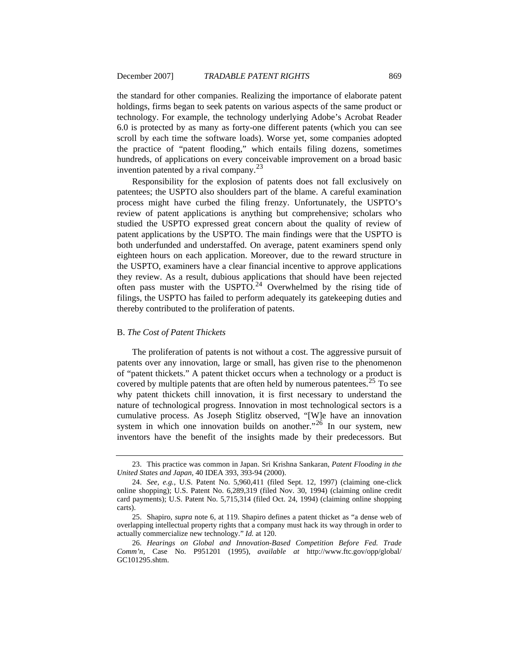<span id="page-6-0"></span>the standard for other companies. Realizing the importance of elaborate patent holdings, firms began to seek patents on various aspects of the same product or technology. For example, the technology underlying Adobe's Acrobat Reader 6.0 is protected by as many as forty-one different patents (which you can see scroll by each time the software loads). Worse yet, some companies adopted the practice of "patent flooding," which entails filing dozens, sometimes hundreds, of applications on every conceivable improvement on a broad basic invention patented by a rival company.  $2^3$ 

thereby contributed to the proliferation of patents. Responsibility for the explosion of patents does not fall exclusively on patentees; the USPTO also shoulders part of the blame. A careful examination process might have curbed the filing frenzy. Unfortunately, the USPTO's review of patent applications is anything but comprehensive; scholars who studied the USPTO expressed great concern about the quality of review of patent applications by the USPTO. The main findings were that the USPTO is both underfunded and understaffed. On average, patent examiners spend only eighteen hours on each application. Moreover, due to the reward structure in the USPTO, examiners have a clear financial incentive to approve applications they review. As a result, dubious applications that should have been rejected often pass muster with the USPTO.<sup>[24](#page-6-2)</sup> Overwhelmed by the rising tide of filings, the USPTO has failed to perform adequately its gatekeeping duties and

#### B. *The Cost of Patent Thickets*

The proliferation of patents is not without a cost. The aggressive pursuit of patents over any innovation, large or small, has given rise to the phenomenon of "patent thickets." A patent thicket occurs when a technology or a product is covered by multiple patents that are often held by numerous patentees.<sup>[25](#page-6-3)</sup> To see why patent thickets chill innovation, it is first necessary to understand the nature of technological progress. Innovation in most technological sectors is a cumulative process. As Joseph Stiglitz observed, "[W]e have an innovation system in which one innovation builds on another."<sup>[26](#page-6-4)</sup> In our system, new inventors have the benefit of the insights made by their predecessors. But

<span id="page-6-1"></span><sup>23.</sup> This practice was common in Japan. Sri Krishna Sankaran, *Patent Flooding in the United States and Japan*, 40 IDEA 393, 393-94 (2000).

<span id="page-6-2"></span><sup>24.</sup> *See, e.g.*, U.S. Patent No. 5,960,411 (filed Sept. 12, 1997) (claiming one-click online shopping); U.S. Patent No. 6,289,319 (filed Nov. 30, 1994) (claiming online credit card payments); U.S. Patent No. 5,715,314 (filed Oct. 24, 1994) (claiming online shopping carts).

<span id="page-6-3"></span><sup>25.</sup> Shapiro, *supra* note 6, at 119. Shapiro defines a patent thicket as "a dense web of overlapping intellectual property rights that a company must hack its way through in order to actually commercialize new technology." *Id.* at 120.

<span id="page-6-4"></span><sup>26.</sup> *Hearings on Global and Innovation-Based Competition Before Fed. Trade Comm'n*, Case No. P951201 (1995), *available at* http://www.ftc.gov/opp/global/ GC101295.shtm.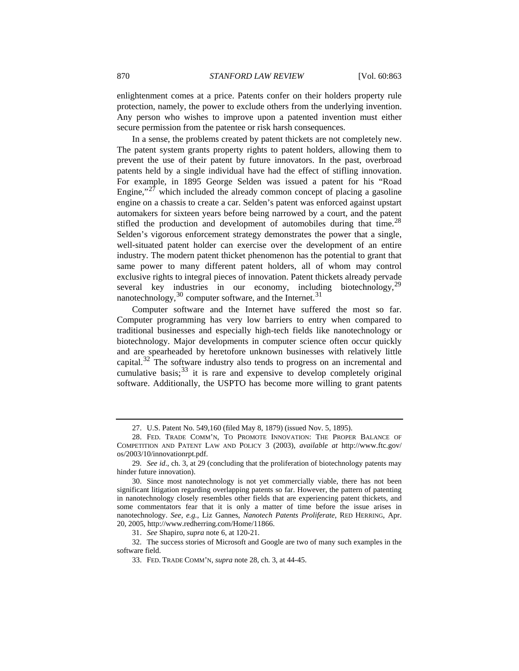enlightenment comes at a price. Patents confer on their holders property rule protection, namely, the power to exclude others from the underlying invention. Any person who wishes to improve upon a patented invention must either secure permission from the patentee or risk harsh consequences.

In a sense, the problems created by patent thickets are not completely new. The patent system grants property rights to patent holders, allowing them to prevent the use of their patent by future innovators. In the past, overbroad patents held by a single individual have had the effect of stifling innovation. For example, in 1895 George Selden was issued a patent for his "Road Engine,"<sup>[27](#page-7-0)</sup> which included the already common concept of placing a gasoline engine on a chassis to create a car. Selden's patent was enforced against upstart automakers for sixteen years before being narrowed by a court, and the patent stifled the production and development of automobiles during that time.<sup>[28](#page-7-1)</sup> Selden's vigorous enforcement strategy demonstrates the power that a single, well-situated patent holder can exercise over the development of an entire industry. The modern patent thicket phenomenon has the potential to grant that same power to many different patent holders, all of whom may control exclusive rights to integral pieces of innovation. Patent thickets already pervade several key industries in our economy, including biotechnology,  $^{29}$  $^{29}$  $^{29}$ nanotechnology,<sup>[30](#page-7-3)</sup> computer software, and the Internet.<sup>[31](#page-7-4)</sup>

Computer software and the Internet have suffered the most so far. Computer programming has very low barriers to entry when compared to traditional businesses and especially high-tech fields like nanotechnology or biotechnology. Major developments in computer science often occur quickly and are spearheaded by heretofore unknown businesses with relatively little capital. $32$  The software industry also tends to progress on an incremental and cumulative basis;  $33$  it is rare and expensive to develop completely original software. Additionally, the USPTO has become more willing to grant patents

<span id="page-7-6"></span><span id="page-7-5"></span><span id="page-7-4"></span>32. The success stories of Microsoft and Google are two of many such examples in the software field.

<sup>27.</sup> U.S. Patent No. 549,160 (filed May 8, 1879) (issued Nov. 5, 1895).

<span id="page-7-1"></span><span id="page-7-0"></span><sup>28.</sup> FED. TRADE COMM'N, TO PROMOTE INNOVATION: THE PROPER BALANCE OF COMPETITION AND PATENT LAW AND POLICY 3 (2003), *available at* http://www.ftc.gov/ os/2003/10/innovationrpt.pdf.

<span id="page-7-2"></span><sup>29.</sup> *See id*., ch. 3, at 29 (concluding that the proliferation of biotechnology patents may hinder future innovation).

<span id="page-7-3"></span><sup>30.</sup> Since most nanotechnology is not yet commercially viable, there has not been significant litigation regarding overlapping patents so far. However, the pattern of patenting in nanotechnology closely resembles other fields that are experiencing patent thickets, and some commentators fear that it is only a matter of time before the issue arises in nanotechnology. *See, e.g.*, Liz Gannes, *Nanotech Patents Proliferate*, RED HERRING, Apr. 20, 2005, http://www.redherring.com/Home/11866.

<sup>31.</sup> *See* Shapiro, *supra* note 6, at 120-21.

<sup>33.</sup> FED. TRADE COMM'N, *supra* note 28, ch. 3, at 44-45.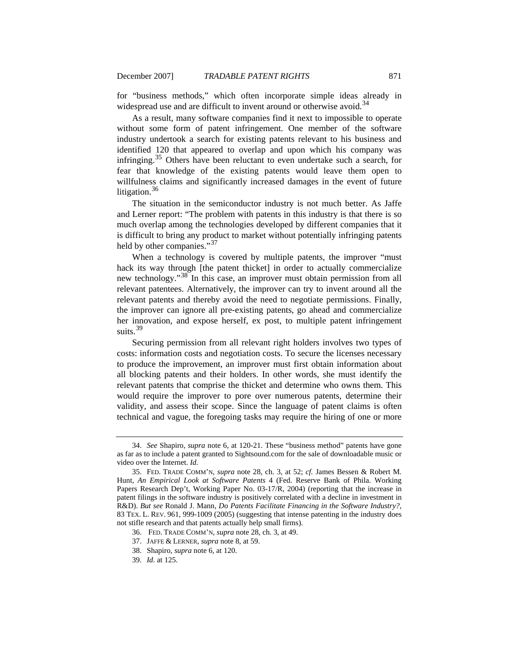for "business methods," which often incorporate simple ideas already in widespread use and are difficult to invent around or otherwise avoid.<sup>[34](#page-8-0)</sup>

As a result, many software companies find it next to impossible to operate without some form of patent infringement. One member of the software industry undertook a search for existing patents relevant to his business and identified 120 that appeared to overlap and upon which his company was infringing.<sup>[35](#page-8-1)</sup> Others have been reluctant to even undertake such a search, for fear that knowledge of the existing patents would leave them open to willfulness claims and significantly increased damages in the event of future litigation.<sup>[36](#page-8-2)</sup>

 The situation in the semiconductor industry is not much better. As Jaffe and Lerner report: "The problem with patents in this industry is that there is so much overlap among the technologies developed by different companies that it is difficult to bring any product to market without potentially infringing patents held by other companies."<sup>[37](#page-8-3)</sup>

When a technology is covered by multiple patents, the improver "must" hack its way through [the patent thicket] in order to actually commercialize new technology."<sup>[38](#page-8-4)</sup> In this case, an improver must obtain permission from all relevant patentees. Alternatively, the improver can try to invent around all the relevant patents and thereby avoid the need to negotiate permissions. Finally, the improver can ignore all pre-existing patents, go ahead and commercialize her innovation, and expose herself, ex post, to multiple patent infringement suits.<sup>[39](#page-8-5)</sup>

Securing permission from all relevant right holders involves two types of costs: information costs and negotiation costs. To secure the licenses necessary to produce the improvement, an improver must first obtain information about all blocking patents and their holders. In other words, she must identify the relevant patents that comprise the thicket and determine who owns them. This would require the improver to pore over numerous patents, determine their validity, and assess their scope. Since the language of patent claims is often technical and vague, the foregoing tasks may require the hiring of one or more

<span id="page-8-0"></span><sup>34.</sup> *See* Shapiro, *supra* note 6, at 120-21. These "business method" patents have gone as far as to include a patent granted to Sightsound.com for the sale of downloadable music or video over the Internet. *Id.* 

<span id="page-8-2"></span><span id="page-8-1"></span><sup>35.</sup> FED. TRADE COMM'N, *supra* note 28, ch. 3, at 52; *cf.* James Bessen & Robert M. Hunt, *An Empirical Look at Software Patents* 4 (Fed. Reserve Bank of Phila. Working Papers Research Dep't, Working Paper No. 03-17/R, 2004) (reporting that the increase in patent filings in the software industry is positively correlated with a decline in investment in R&D). *But see* Ronald J. Mann, *Do Patents Facilitate Financing in the Software Industry?*, 83 TEX. L. REV. 961, 999-1009 (2005) (suggesting that intense patenting in the industry does not stifle research and that patents actually help small firms).

<sup>36.</sup> FED. TRADE COMM'N, *supra* note 28, ch. 3, at 49.

<span id="page-8-3"></span><sup>37.</sup> JAFFE & LERNER, *supra* note 8, at 59.

<span id="page-8-4"></span><sup>38.</sup> Shapiro, *supra* note 6, at 120.

<span id="page-8-5"></span><sup>39.</sup> *Id.* at 125.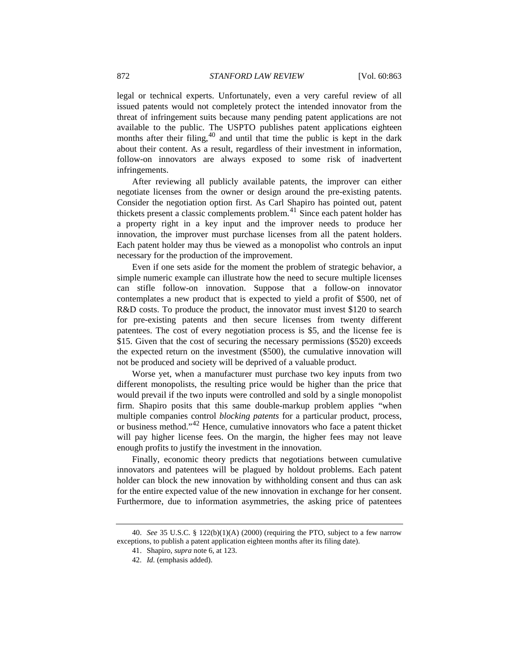legal or technical experts. Unfortunately, even a very careful review of all issued patents would not completely protect the intended innovator from the threat of infringement suits because many pending patent applications are not available to the public. The USPTO publishes patent applications eighteen months after their filing,<sup>[40](#page-9-0)</sup> and until that time the public is kept in the dark about their content. As a result, regardless of their investment in information, follow-on innovators are always exposed to some risk of inadvertent infringements.

After reviewing all publicly available patents, the improver can either negotiate licenses from the owner or design around the pre-existing patents. Consider the negotiation option first. As Carl Shapiro has pointed out, patent thickets present a classic complements problem. $41$  Since each patent holder has a property right in a key input and the improver needs to produce her innovation, the improver must purchase licenses from all the patent holders. Each patent holder may thus be viewed as a monopolist who controls an input necessary for the production of the improvement.

Even if one sets aside for the moment the problem of strategic behavior, a simple numeric example can illustrate how the need to secure multiple licenses can stifle follow-on innovation. Suppose that a follow-on innovator contemplates a new product that is expected to yield a profit of \$500, net of R&D costs. To produce the product, the innovator must invest \$120 to search for pre-existing patents and then secure licenses from twenty different patentees. The cost of every negotiation process is \$5, and the license fee is \$15. Given that the cost of securing the necessary permissions (\$520) exceeds the expected return on the investment (\$500), the cumulative innovation will not be produced and society will be deprived of a valuable product.

Worse yet, when a manufacturer must purchase two key inputs from two different monopolists, the resulting price would be higher than the price that would prevail if the two inputs were controlled and sold by a single monopolist firm. Shapiro posits that this same double-markup problem applies "when multiple companies control *blocking patents* for a particular product, process, or business method."[42](#page-9-2) Hence, cumulative innovators who face a patent thicket will pay higher license fees. On the margin, the higher fees may not leave enough profits to justify the investment in the innovation.

Finally, economic theory predicts that negotiations between cumulative innovators and patentees will be plagued by holdout problems. Each patent holder can block the new innovation by withholding consent and thus can ask for the entire expected value of the new innovation in exchange for her consent. Furthermore, due to information asymmetries, the asking price of patentees

<span id="page-9-2"></span><span id="page-9-1"></span><span id="page-9-0"></span><sup>40.</sup> *See* 35 U.S.C. § 122(b)(1)(A) (2000) (requiring the PTO, subject to a few narrow exceptions, to publish a patent application eighteen months after its filing date).

<sup>41.</sup> Shapiro, *supra* note 6, at 123.

<sup>42.</sup> *Id.* (emphasis added).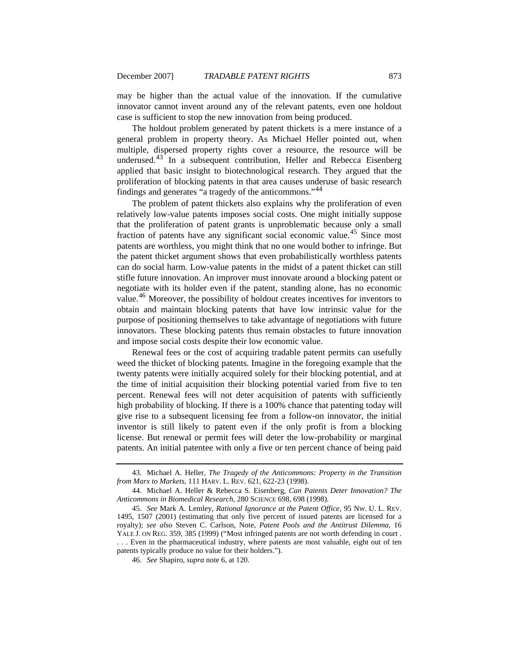may be higher than the actual value of the innovation. If the cumulative innovator cannot invent around any of the relevant patents, even one holdout case is sufficient to stop the new innovation from being produced.

The holdout problem generated by patent thickets is a mere instance of a general problem in property theory. As Michael Heller pointed out, when multiple, dispersed property rights cover a resource, the resource will be underused.<sup>[43](#page-10-0)</sup> In a subsequent contribution, Heller and Rebecca Eisenberg applied that basic insight to biotechnological research. They argued that the proliferation of blocking patents in that area causes underuse of basic research findings and generates "a tragedy of the anticommons."[44](#page-10-1)

The problem of patent thickets also explains why the proliferation of even relatively low-value patents imposes social costs. One might initially suppose that the proliferation of patent grants is unproblematic because only a small fraction of patents have any significant social economic value.<sup>[45](#page-10-2)</sup> Since most patents are worthless, you might think that no one would bother to infringe. But the patent thicket argument shows that even probabilistically worthless patents can do social harm. Low-value patents in the midst of a patent thicket can still stifle future innovation. An improver must innovate around a blocking patent or negotiate with its holder even if the patent, standing alone, has no economic value.[46](#page-10-3) Moreover, the possibility of holdout creates incentives for inventors to obtain and maintain blocking patents that have low intrinsic value for the purpose of positioning themselves to take advantage of negotiations with future innovators. These blocking patents thus remain obstacles to future innovation and impose social costs despite their low economic value.

Renewal fees or the cost of acquiring tradable patent permits can usefully weed the thicket of blocking patents. Imagine in the foregoing example that the twenty patents were initially acquired solely for their blocking potential, and at the time of initial acquisition their blocking potential varied from five to ten percent. Renewal fees will not deter acquisition of patents with sufficiently high probability of blocking. If there is a 100% chance that patenting today will give rise to a subsequent licensing fee from a follow-on innovator, the initial inventor is still likely to patent even if the only profit is from a blocking license. But renewal or permit fees will deter the low-probability or marginal patents. An initial patentee with only a five or ten percent chance of being paid

<span id="page-10-0"></span><sup>43.</sup> Michael A. Heller, *The Tragedy of the Anticommons: Property in the Transition from Marx to Markets*, 111 HARV. L. REV. 621, 622-23 (1998).

<span id="page-10-1"></span><sup>44.</sup> Michael A. Heller & Rebecca S. Eisenberg, *Can Patents Deter Innovation? The Anticommons in Biomedical Research*, 280 SCIENCE 698, 698 (1998).

<span id="page-10-3"></span><span id="page-10-2"></span><sup>45.</sup> *See* Mark A. Lemley, *Rational Ignorance at the Patent Office*, 95 NW. U. L. REV. 1495, 1507 (2001) (estimating that only five percent of issued patents are licensed for a royalty); *see also* Steven C. Carlson, Note, *Patent Pools and the Antitrust Dilemma*, 16 YALE J. ON REG. 359, 385 (1999) ("Most infringed patents are not worth defending in court . . . . Even in the pharmaceutical industry, where patents are most valuable, eight out of ten patents typically produce no value for their holders.").

<sup>46.</sup> *See* Shapiro, *supra* note 6, at 120.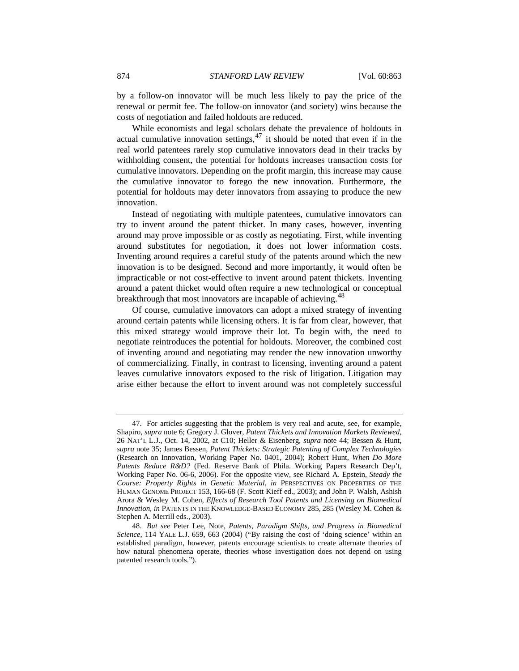by a follow-on innovator will be much less likely to pay the price of the renewal or permit fee. The follow-on innovator (and society) wins because the costs of negotiation and failed holdouts are reduced.

While economists and legal scholars debate the prevalence of holdouts in actual cumulative innovation settings,  $47$  it should be noted that even if in the real world patentees rarely stop cumulative innovators dead in their tracks by withholding consent, the potential for holdouts increases transaction costs for cumulative innovators. Depending on the profit margin, this increase may cause the cumulative innovator to forego the new innovation. Furthermore, the potential for holdouts may deter innovators from assaying to produce the new innovation.

Instead of negotiating with multiple patentees, cumulative innovators can try to invent around the patent thicket. In many cases, however, inventing around may prove impossible or as costly as negotiating. First, while inventing around substitutes for negotiation, it does not lower information costs. Inventing around requires a careful study of the patents around which the new innovation is to be designed. Second and more importantly, it would often be impracticable or not cost-effective to invent around patent thickets. Inventing around a patent thicket would often require a new technological or conceptual breakthrough that most innovators are incapable of achieving.<sup>[48](#page-11-1)</sup>

Of course, cumulative innovators can adopt a mixed strategy of inventing around certain patents while licensing others. It is far from clear, however, that this mixed strategy would improve their lot. To begin with, the need to negotiate reintroduces the potential for holdouts. Moreover, the combined cost of inventing around and negotiating may render the new innovation unworthy of commercializing. Finally, in contrast to licensing, inventing around a patent leaves cumulative innovators exposed to the risk of litigation. Litigation may arise either because the effort to invent around was not completely successful

<span id="page-11-0"></span><sup>47.</sup> For articles suggesting that the problem is very real and acute, see, for example, Shapiro, *supra* note 6; Gregory J. Glover, *Patent Thickets and Innovation Markets Reviewed*, 26 NAT'L L.J., Oct. 14, 2002, at C10; Heller & Eisenberg, *supra* note 44; Bessen & Hunt, *supra* note 35; James Bessen, *Patent Thickets: Strategic Patenting of Complex Technologies* (Research on Innovation, Working Paper No. 0401, 2004); Robert Hunt, *When Do More Patents Reduce R&D?* (Fed. Reserve Bank of Phila. Working Papers Research Dep't, Working Paper No. 06-6, 2006). For the opposite view, see Richard A. Epstein, *Steady the Course: Property Rights in Genetic Material*, *in* PERSPECTIVES ON PROPERTIES OF THE HUMAN GENOME PROJECT 153, 166-68 (F. Scott Kieff ed., 2003); and John P. Walsh, Ashish Arora & Wesley M. Cohen, *Effects of Research Tool Patents and Licensing on Biomedical Innovation*, *in* PATENTS IN THE KNOWLEDGE-BASED ECONOMY 285, 285 (Wesley M. Cohen & Stephen A. Merrill eds., 2003).

<span id="page-11-1"></span><sup>48.</sup> *But see* Peter Lee, Note, *Patents, Paradigm Shifts, and Progress in Biomedical Science*, 114 YALE L.J. 659, 663 (2004) ("By raising the cost of 'doing science' within an established paradigm, however, patents encourage scientists to create alternate theories of how natural phenomena operate, theories whose investigation does not depend on using patented research tools.").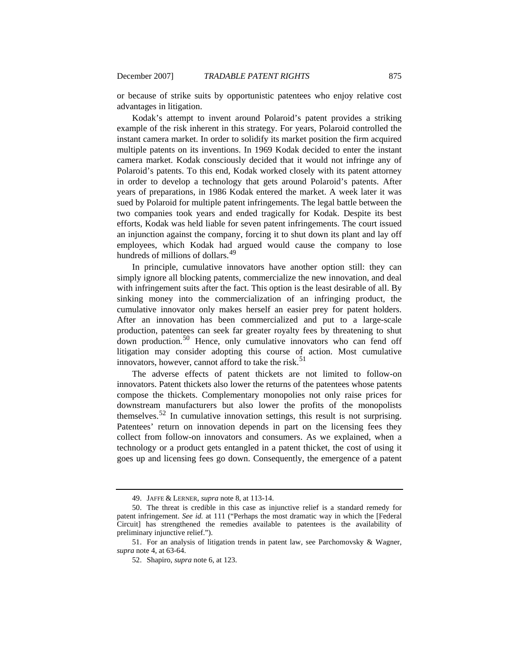or because of strike suits by opportunistic patentees who enjoy relative cost advantages in litigation.

Kodak's attempt to invent around Polaroid's patent provides a striking example of the risk inherent in this strategy. For years, Polaroid controlled the instant camera market. In order to solidify its market position the firm acquired multiple patents on its inventions. In 1969 Kodak decided to enter the instant camera market. Kodak consciously decided that it would not infringe any of Polaroid's patents. To this end, Kodak worked closely with its patent attorney in order to develop a technology that gets around Polaroid's patents. After years of preparations, in 1986 Kodak entered the market. A week later it was sued by Polaroid for multiple patent infringements. The legal battle between the two companies took years and ended tragically for Kodak. Despite its best efforts, Kodak was held liable for seven patent infringements. The court issued an injunction against the company, forcing it to shut down its plant and lay off employees, which Kodak had argued would cause the company to lose hundreds of millions of dollars.<sup>[49](#page-12-0)</sup>

In principle, cumulative innovators have another option still: they can simply ignore all blocking patents, commercialize the new innovation, and deal with infringement suits after the fact. This option is the least desirable of all. By sinking money into the commercialization of an infringing product, the cumulative innovator only makes herself an easier prey for patent holders. After an innovation has been commercialized and put to a large-scale production, patentees can seek far greater royalty fees by threatening to shut down production.<sup>[50](#page-12-1)</sup> Hence, only cumulative innovators who can fend off litigation may consider adopting this course of action. Most cumulative innovators, however, cannot afford to take the risk.<sup>[51](#page-12-2)</sup>

The adverse effects of patent thickets are not limited to follow-on innovators. Patent thickets also lower the returns of the patentees whose patents compose the thickets. Complementary monopolies not only raise prices for downstream manufacturers but also lower the profits of the monopolists themselves.[52](#page-12-3) In cumulative innovation settings, this result is not surprising. Patentees' return on innovation depends in part on the licensing fees they collect from follow-on innovators and consumers. As we explained, when a technology or a product gets entangled in a patent thicket, the cost of using it goes up and licensing fees go down. Consequently, the emergence of a patent

<sup>49.</sup> JAFFE & LERNER, *supra* note 8, at 113-14.

<span id="page-12-1"></span><span id="page-12-0"></span><sup>50.</sup> The threat is credible in this case as injunctive relief is a standard remedy for patent infringement. *See id.* at 111 ("Perhaps the most dramatic way in which the [Federal Circuit] has strengthened the remedies available to patentees is the availability of preliminary injunctive relief.").

<span id="page-12-3"></span><span id="page-12-2"></span><sup>51.</sup> For an analysis of litigation trends in patent law, see Parchomovsky & Wagner, *supra* note 4, at 63-64.

<sup>52.</sup> Shapiro, *supra* note 6, at 123.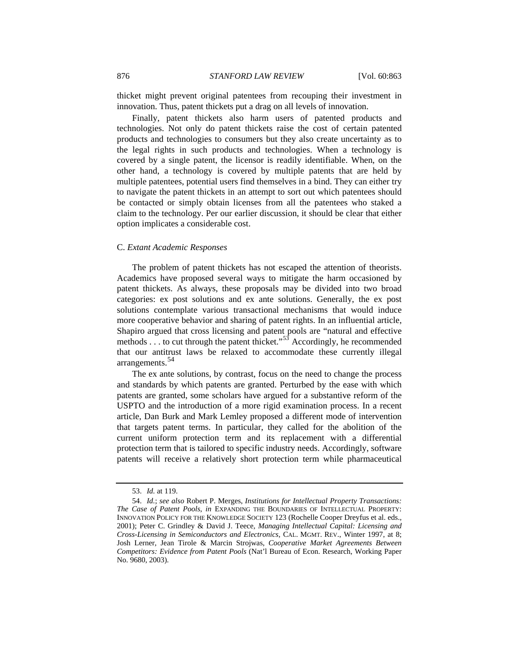<span id="page-13-0"></span>thicket might prevent original patentees from recouping their investment in innovation. Thus, patent thickets put a drag on all levels of innovation.

Finally, patent thickets also harm users of patented products and technologies. Not only do patent thickets raise the cost of certain patented products and technologies to consumers but they also create uncertainty as to the legal rights in such products and technologies. When a technology is covered by a single patent, the licensor is readily identifiable. When, on the other hand, a technology is covered by multiple patents that are held by multiple patentees, potential users find themselves in a bind. They can either try to navigate the patent thickets in an attempt to sort out which patentees should be contacted or simply obtain licenses from all the patentees who staked a claim to the technology. Per our earlier discussion, it should be clear that either option implicates a considerable cost.

### C. *Extant Academic Responses*

The problem of patent thickets has not escaped the attention of theorists. Academics have proposed several ways to mitigate the harm occasioned by patent thickets. As always, these proposals may be divided into two broad categories: ex post solutions and ex ante solutions. Generally, the ex post solutions contemplate various transactional mechanisms that would induce more cooperative behavior and sharing of patent rights. In an influential article, Shapiro argued that cross licensing and patent pools are "natural and effective methods  $\dots$  to cut through the patent thicket."<sup>[53](#page-13-1)</sup> Accordingly, he recommended that our antitrust laws be relaxed to accommodate these currently illegal arrangements.[54](#page-13-2)

The ex ante solutions, by contrast, focus on the need to change the process and standards by which patents are granted. Perturbed by the ease with which patents are granted, some scholars have argued for a substantive reform of the USPTO and the introduction of a more rigid examination process. In a recent article, Dan Burk and Mark Lemley proposed a different mode of intervention that targets patent terms. In particular, they called for the abolition of the current uniform protection term and its replacement with a differential protection term that is tailored to specific industry needs. Accordingly, software patents will receive a relatively short protection term while pharmaceutical

<sup>53.</sup> *Id.* at 119.

<span id="page-13-2"></span><span id="page-13-1"></span><sup>54.</sup> *Id.*; *see also* Robert P. Merges, *Institutions for Intellectual Property Transactions: The Case of Patent Pools*, *in* EXPANDING THE BOUNDARIES OF INTELLECTUAL PROPERTY: INNOVATION POLICY FOR THE KNOWLEDGE SOCIETY 123 (Rochelle Cooper Dreyfus et al. eds., 2001); Peter C. Grindley & David J. Teece, *Managing Intellectual Capital: Licensing and Cross-Licensing in Semiconductors and Electronics*, CAL. MGMT. REV., Winter 1997, at 8; Josh Lerner, Jean Tirole & Marcin Strojwas, *Cooperative Market Agreements Between Competitors: Evidence from Patent Pools* (Nat'l Bureau of Econ. Research, Working Paper No. 9680, 2003).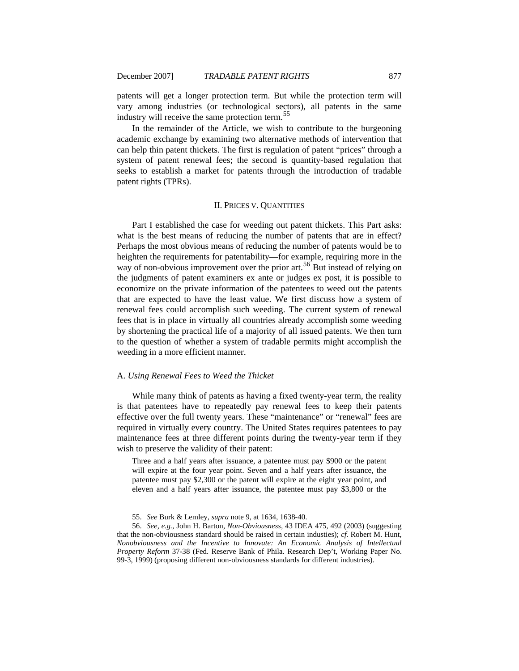<span id="page-14-0"></span>

patents will get a longer protection term. But while the protection term will vary among industries (or technological sectors), all patents in the same industry will receive the same protection term.<sup>[55](#page-14-1)</sup>

In the remainder of the Article, we wish to contribute to the burgeoning academic exchange by examining two alternative methods of intervention that can help thin patent thickets. The first is regulation of patent "prices" through a system of patent renewal fees; the second is quantity-based regulation that seeks to establish a market for patents through the introduction of tradable patent rights (TPRs).

# II. PRICES V. QUANTITIES

Part I established the case for weeding out patent thickets. This Part asks: what is the best means of reducing the number of patents that are in effect? Perhaps the most obvious means of reducing the number of patents would be to heighten the requirements for patentability—for example, requiring more in the way of non-obvious improvement over the prior art.<sup>[56](#page-14-2)</sup> But instead of relying on the judgments of patent examiners ex ante or judges ex post, it is possible to economize on the private information of the patentees to weed out the patents that are expected to have the least value. We first discuss how a system of renewal fees could accomplish such weeding. The current system of renewal fees that is in place in virtually all countries already accomplish some weeding by shortening the practical life of a majority of all issued patents. We then turn to the question of whether a system of tradable permits might accomplish the weeding in a more efficient manner.

#### A. *Using Renewal Fees to Weed the Thicket*

While many think of patents as having a fixed twenty-year term, the reality is that patentees have to repeatedly pay renewal fees to keep their patents effective over the full twenty years. These "maintenance" or "renewal" fees are required in virtually every country. The United States requires patentees to pay maintenance fees at three different points during the twenty-year term if they wish to preserve the validity of their patent:

Three and a half years after issuance, a patentee must pay \$900 or the patent will expire at the four year point. Seven and a half years after issuance, the patentee must pay \$2,300 or the patent will expire at the eight year point, and eleven and a half years after issuance, the patentee must pay \$3,800 or the

<sup>55.</sup> *See* Burk & Lemley, *supra* note 9, at 1634, 1638-40.

<span id="page-14-2"></span><span id="page-14-1"></span><sup>56.</sup> *See, e.g.*, John H. Barton, *Non-Obviousness*, 43 IDEA 475, 492 (2003) (suggesting that the non-obviousness standard should be raised in certain industies); *cf.* Robert M. Hunt, *Nonobviousness and the Incentive to Innovate: An Economic Analysis of Intellectual Property Reform* 37-38 (Fed. Reserve Bank of Phila. Research Dep't, Working Paper No. 99-3, 1999) (proposing different non-obviousness standards for different industries).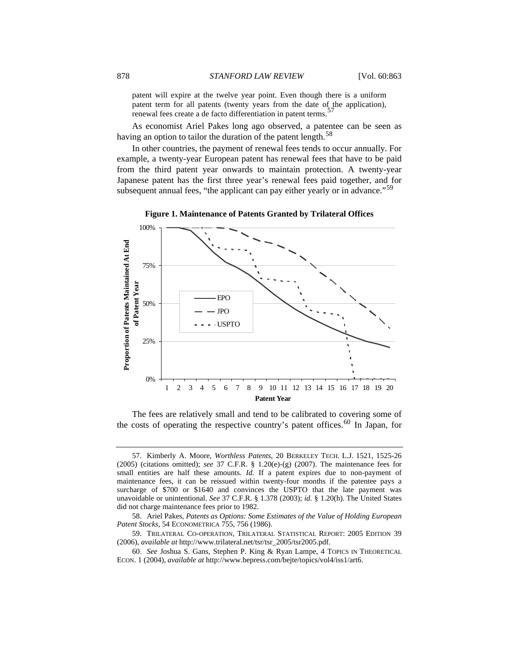patent will expire at the twelve year point. Even though there is a uniform patent term for all patents (twenty years from the date of the application), renewal fees create a de facto differentiation in patent terms.<sup>[57](#page-15-0)</sup>

 As economist Ariel Pakes long ago observed, a patentee can be seen as having an option to tailor the duration of the patent length. $58$ 

In other countries, the payment of renewal fees tends to occur annually. For example, a twenty-year European patent has renewal fees that have to be paid from the third patent year onwards to maintain protection. A twenty-year Japanese patent has the first three year's renewal fees paid together, and for subsequent annual fees, "the applicant can pay either yearly or in advance."<sup>[59](#page-15-2)</sup>



**Figure 1. Maintenance of Patents Granted by Trilateral Offices**

The fees are relatively small and tend to be calibrated to covering some of the costs of operating the respective country's patent offices.<sup>[60](#page-15-3)</sup> In Japan, for

<span id="page-15-0"></span><sup>57.</sup> Kimberly A. Moore, *Worthless Patents*, 20 BERKELEY TECH. L.J. 1521, 1525-26 (2005) (citations omitted); *see* 37 C.F.R. § 1.20(e)-(g) (2007). The maintenance fees for small entities are half these amounts. *Id.* If a patent expires due to non-payment of maintenance fees, it can be reissued within twenty-four months if the patentee pays a surcharge of \$700 or \$1640 and convinces the USPTO that the late payment was unavoidable or unintentional. *See* 37 C.F.R. § 1.378 (2003); *id.* § 1.20(h). The United States did not charge maintenance fees prior to 1982.

<span id="page-15-1"></span><sup>58.</sup> Ariel Pakes, *Patents as Options: Some Estimates of the Value of Holding European Patent Stocks*, 54 ECONOMETRICA 755, 756 (1986).

<span id="page-15-2"></span><sup>59.</sup> TRILATERAL CO-OPERATION, TRILATERAL STATISTICAL REPORT: 2005 EDITION 39 (2006), *available at* http://www.trilateral.net/tsr/tsr\_2005/tsr2005.pdf.

<span id="page-15-3"></span><sup>60.</sup> *See* Joshua S. Gans, Stephen P. King & Ryan Lampe, 4 TOPICS IN THEORETICAL ECON. 1 (2004), *available at* http://www.bepress.com/bejte/topics/vol4/iss1/art6.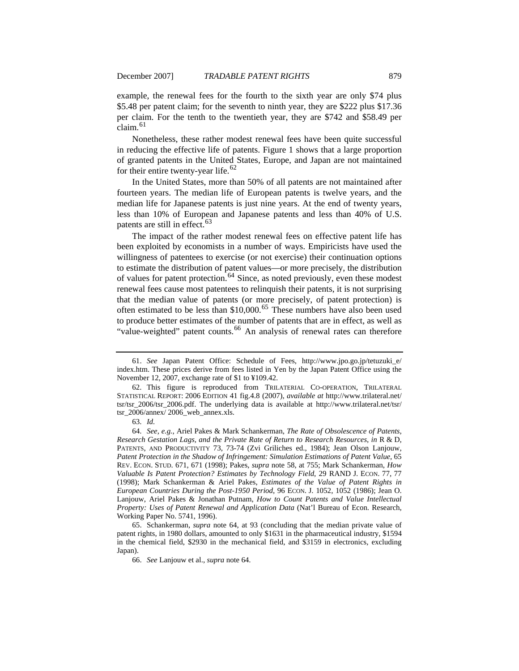example, the renewal fees for the fourth to the sixth year are only \$74 plus \$5.48 per patent claim; for the seventh to ninth year, they are \$222 plus \$17.36 per claim. For the tenth to the twentieth year, they are \$742 and \$58.49 per  $claim.<sup>61</sup>$  $claim.<sup>61</sup>$  $claim.<sup>61</sup>$ 

Nonetheless, these rather modest renewal fees have been quite successful in reducing the effective life of patents. Figure 1 shows that a large proportion of granted patents in the United States, Europe, and Japan are not maintained for their entire twenty-year life. $62$ 

In the United States, more than 50% of all patents are not maintained after fourteen years. The median life of European patents is twelve years, and the median life for Japanese patents is just nine years. At the end of twenty years, less than 10% of European and Japanese patents and less than 40% of U.S. patents are still in effect.<sup>[63](#page-16-2)</sup>

The impact of the rather modest renewal fees on effective patent life has been exploited by economists in a number of ways. Empiricists have used the willingness of patentees to exercise (or not exercise) their continuation options to estimate the distribution of patent values—or more precisely, the distribution of values for patent protection.<sup>[64](#page-16-3)</sup> Since, as noted previously, even these modest renewal fees cause most patentees to relinquish their patents, it is not surprising that the median value of patents (or more precisely, of patent protection) is often estimated to be less than  $$10,000$ .<sup>[65](#page-16-4)</sup> These numbers have also been used to produce better estimates of the number of patents that are in effect, as well as "value-weighted" patent counts.<sup>[66](#page-16-5)</sup> An analysis of renewal rates can therefore

<span id="page-16-0"></span><sup>61.</sup> *See* Japan Patent Office: Schedule of Fees, http://www.jpo.go.jp/tetuzuki\_e/ index.htm. These prices derive from fees listed in Yen by the Japan Patent Office using the November 12, 2007, exchange rate of \$1 to ¥109.42.

<span id="page-16-1"></span><sup>62.</sup> This figure is reproduced from TRILATERIAL CO-OPERATION, TRILATERAL STATISTICAL REPORT: 2006 EDITION 41 fig.4.8 (2007), *available at* http://www.trilateral.net/ tsr/tsr\_2006/tsr\_2006.pdf. The underlying data is available at http://www.trilateral.net/tsr/ tsr\_2006/annex/ 2006\_web\_annex.xls.

<sup>63.</sup> *Id.*

<span id="page-16-3"></span><span id="page-16-2"></span><sup>64.</sup> *See, e.g.*, Ariel Pakes & Mark Schankerman, *The Rate of Obsolescence of Patents, Research Gestation Lags, and the Private Rate of Return to Research Resources*, *in* R & D, PATENTS, AND PRODUCTIVITY 73, 73-74 (Zvi Griliches ed., 1984); Jean Olson Lanjouw, *Patent Protection in the Shadow of Infringement: Simulation Estimations of Patent Value*, 65 REV. ECON. STUD. 671, 671 (1998); Pakes, *supra* note 58, at 755; Mark Schankerman, *How Valuable Is Patent Protection? Estimates by Technology Field*, 29 RAND J. ECON. 77, 77 (1998); Mark Schankerman & Ariel Pakes, *Estimates of the Value of Patent Rights in European Countries During the Post-1950 Period*, 96 ECON. J. 1052, 1052 (1986); Jean O. Lanjouw, Ariel Pakes & Jonathan Putnam, *How to Count Patents and Value Intellectual Property: Uses of Patent Renewal and Application Data* (Nat'l Bureau of Econ. Research, Working Paper No. 5741, 1996).

<span id="page-16-5"></span><span id="page-16-4"></span><sup>65.</sup> Schankerman, *supra* note 64, at 93 (concluding that the median private value of patent rights, in 1980 dollars, amounted to only \$1631 in the pharmaceutical industry, \$1594 in the chemical field, \$2930 in the mechanical field, and \$3159 in electronics, excluding Japan).

<sup>66.</sup> *See* Lanjouw et al., *supra* note 64.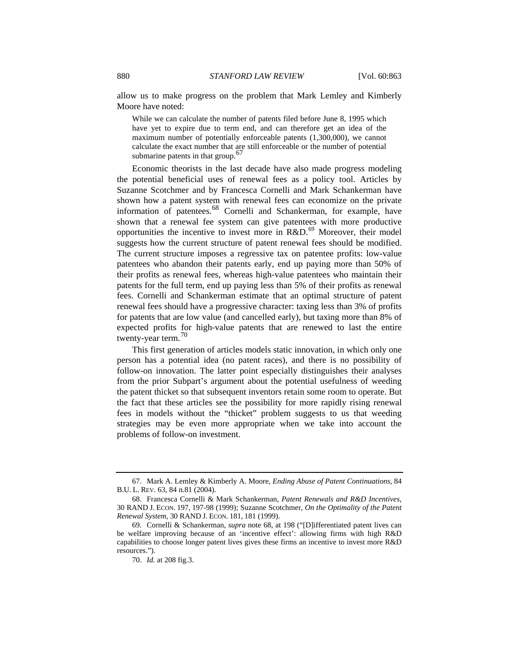allow us to make progress on the problem that Mark Lemley and Kimberly Moore have noted:

While we can calculate the number of patents filed before June 8, 1995 which have yet to expire due to term end, and can therefore get an idea of the maximum number of potentially enforceable patents (1,300,000), we cannot calculate the exact number that ar[e](#page-17-0) still enforceable or the number of potential submarine patents in that group.<sup>[67](#page-17-0)</sup>

Economic theorists in the last decade have also made progress modeling the potential beneficial uses of renewal fees as a policy tool. Articles by Suzanne Scotchmer and by Francesca Cornelli and Mark Schankerman have shown how a patent system with renewal fees can economize on the private information of patentees.[68](#page-17-1) Cornelli and Schankerman, for example, have shown that a renewal fee system can give patentees with more productive opportunities the incentive to invest more in  $R&D.<sup>69</sup>$  $R&D.<sup>69</sup>$  $R&D.<sup>69</sup>$  Moreover, their model suggests how the current structure of patent renewal fees should be modified. The current structure imposes a regressive tax on patentee profits: low-value patentees who abandon their patents early, end up paying more than 50% of their profits as renewal fees, whereas high-value patentees who maintain their patents for the full term, end up paying less than 5% of their profits as renewal fees. Cornelli and Schankerman estimate that an optimal structure of patent renewal fees should have a progressive character: taxing less than 3% of profits for patents that are low value (and cancelled early), but taxing more than 8% of expected profits for high-value patents that are renewed to last the entire twenty-year term.<sup>[70](#page-17-3)</sup>

This first generation of articles models static innovation, in which only one person has a potential idea (no patent races), and there is no possibility of follow-on innovation. The latter point especially distinguishes their analyses from the prior Subpart's argument about the potential usefulness of weeding the patent thicket so that subsequent inventors retain some room to operate. But the fact that these articles see the possibility for more rapidly rising renewal fees in models without the "thicket" problem suggests to us that weeding strategies may be even more appropriate when we take into account the problems of follow-on investment.

<span id="page-17-0"></span><sup>67.</sup> Mark A. Lemley & Kimberly A. Moore, *Ending Abuse of Patent Continuations*, 84 B.U. L. REV. 63, 84 n.81 (2004).

<span id="page-17-1"></span><sup>68.</sup> Francesca Cornelli & Mark Schankerman, *Patent Renewals and R&D Incentives*, 30 RAND J. ECON. 197, 197-98 (1999); Suzanne Scotchmer, *On the Optimality of the Patent Renewal System*, 30 RAND J. ECON. 181, 181 (1999).

<span id="page-17-3"></span><span id="page-17-2"></span><sup>69.</sup> Cornelli & Schankerman, *supra* note 68, at 198 ("[D]ifferentiated patent lives can be welfare improving because of an 'incentive effect': allowing firms with high R&D capabilities to choose longer patent lives gives these firms an incentive to invest more R&D resources.").

<sup>70.</sup> *Id.* at 208 fig.3.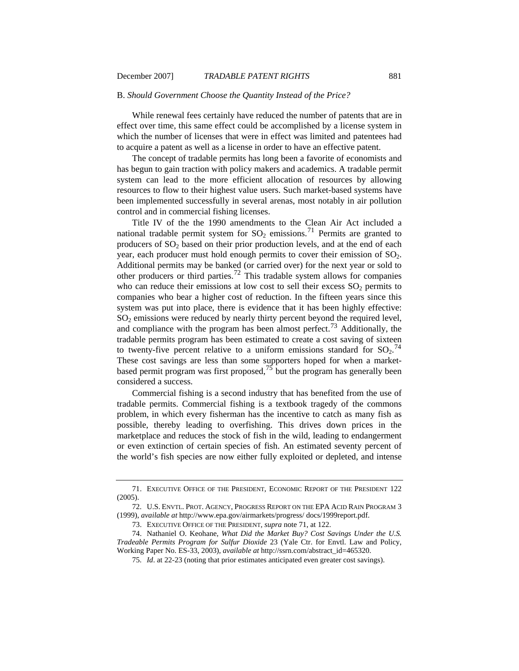#### <span id="page-18-0"></span>B. *Should Government Choose the Quantity Instead of the Price?*

While renewal fees certainly have reduced the number of patents that are in effect over time, this same effect could be accomplished by a license system in which the number of licenses that were in effect was limited and patentees had to acquire a patent as well as a license in order to have an effective patent.

The concept of tradable permits has long been a favorite of economists and has begun to gain traction with policy makers and academics. A tradable permit system can lead to the more efficient allocation of resources by allowing resources to flow to their highest value users. Such market-based systems have been implemented successfully in several arenas, most notably in air pollution control and in commercial fishing licenses.

Title IV of the the 1990 amendments to the Clean Air Act included a national tradable permit system for  $SO_2$  emissions.<sup>[71](#page-18-1)</sup> Permits are granted to producers of  $SO_2$  based on their prior production levels, and at the end of each year, each producer must hold enough permits to cover their emission of  $SO_2$ . Additional permits may be banked (or carried over) for the next year or sold to other producers or third parties.<sup>[72](#page-18-2)</sup> This tradable system allows for companies who can reduce their emissions at low cost to sell their excess  $SO<sub>2</sub>$  permits to companies who bear a higher cost of reduction. In the fifteen years since this system was put into place, there is evidence that it has been highly effective:  $SO<sub>2</sub>$  emissions were reduced by nearly thirty percent beyond the required level, and compliance with the program has been almost perfect.<sup>[73](#page-18-3)</sup> Additionally, the tradable permits program has been estimated to create a cost saving of sixteen to twenty-five percent relative to a uniform emissions standard for  $SO_2$ .<sup>[74](#page-18-4)</sup> These cost savings are less than some supporters hoped for when a marketbased permit program was first proposed,  $^{75}$  $^{75}$  $^{75}$  but the program has generally been considered a success.

Commercial fishing is a second industry that has benefited from the use of tradable permits. Commercial fishing is a textbook tragedy of the commons problem, in which every fisherman has the incentive to catch as many fish as possible, thereby leading to overfishing. This drives down prices in the marketplace and reduces the stock of fish in the wild, leading to endangerment or even extinction of certain species of fish. An estimated seventy percent of the world's fish species are now either fully exploited or depleted, and intense

<span id="page-18-1"></span><sup>71.</sup> EXECUTIVE OFFICE OF THE PRESIDENT, ECONOMIC REPORT OF THE PRESIDENT 122 (2005).

<span id="page-18-2"></span><sup>72.</sup> U.S. ENVTL. PROT. AGENCY, PROGRESS REPORT ON THE EPA ACID RAIN PROGRAM 3 (1999), *available at* http://www.epa.gov/airmarkets/progress/ docs/1999report.pdf.

<sup>73.</sup> EXECUTIVE OFFICE OF THE PRESIDENT, *supra* note 71, at 122.

<span id="page-18-5"></span><span id="page-18-4"></span><span id="page-18-3"></span><sup>74.</sup> Nathaniel O. Keohane, *What Did the Market Buy? Cost Savings Under the U.S. Tradeable Permits Program for Sulfur Dioxide* 23 (Yale Ctr. for Envtl. Law and Policy, Working Paper No. ES-33, 2003), *available at* http://ssrn.com/abstract\_id=465320.

<sup>75.</sup> *Id*. at 22-23 (noting that prior estimates anticipated even greater cost savings).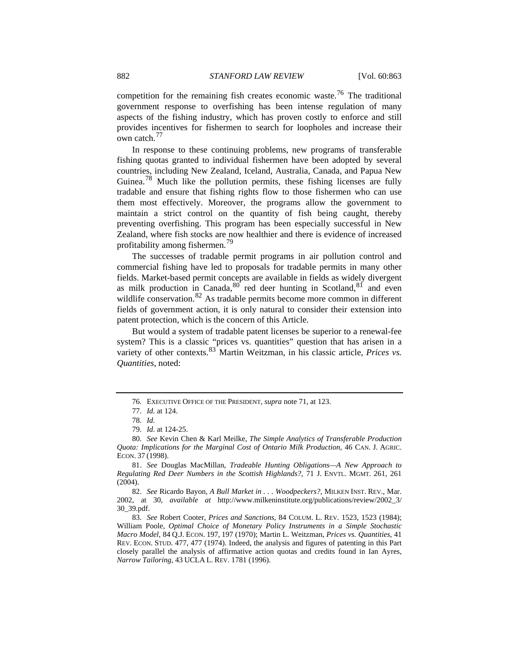competition for the remaining fish creates economic waste.<sup>[76](#page-19-0)</sup> The traditional government response to overfishing has been intense regulation of many aspects of the fishing industry, which has proven costly to enforce and still provides incentives for fishermen to search for loopholes and increase their own catch.<sup>[77](#page-19-1)</sup>

In response to these continuing problems, new programs of transferable fishing quotas granted to individual fishermen have been adopted by several countries, including New Zealand, Iceland, Australia, Canada, and Papua New Guinea.<sup>[78](#page-19-2)</sup> Much like the pollution permits, these fishing licenses are fully tradable and ensure that fishing rights flow to those fishermen who can use them most effectively. Moreover, the programs allow the government to maintain a strict control on the quantity of fish being caught, thereby preventing overfishing. This program has been especially successful in New Zealand, where fish stocks are now healthier and there is evidence of increased profitability among fishermen.[79](#page-19-3)

The successes of tradable permit programs in air pollution control and commercial fishing have led to proposals for tradable permits in many other fields. Market-based permit concepts are available in fields as widely divergent as milk production in Canada,  $80^{\circ}$  $80^{\circ}$  red deer hunting in Scotland,  $81^{\circ}$  $81^{\circ}$  and even wildlife conservation.<sup>[82](#page-19-6)</sup> As tradable permits become more common in different fields of government action, it is only natural to consider their extension into patent protection, which is the concern of this Article.

But would a system of tradable patent licenses be superior to a renewal-fee system? This is a classic "prices vs. quantities" question that has arisen in a variety of other contexts.<sup>[83](#page-19-7)</sup> Martin Weitzman, in his classic article, *Prices vs. Quantities*, noted:

<span id="page-19-5"></span>81. *See* Douglas MacMillan, *Tradeable Hunting Obligations—A New Approach to Regulating Red Deer Numbers in the Scottish Highlands?*, 71 J. ENVTL. MGMT. 261, 261 (2004).

<span id="page-19-6"></span>82. *See* Ricardo Bayon, *A Bull Market in . . . Woodpeckers?*, MILKEN INST. REV., Mar. 2002, at 30, *available at* http://www.milkeninstitute.org/publications/review/2002\_3/ 30\_39.pdf.

<span id="page-19-7"></span>83. *See* Robert Cooter, *Prices and Sanctions*, 84 COLUM. L. REV. 1523, 1523 (1984); William Poole, *Optimal Choice of Monetary Policy Instruments in a Simple Stochastic Macro Model*, 84 Q.J. ECON. 197, 197 (1970); Martin L. Weitzman, *Prices vs. Quantities*, 41 REV. ECON. STUD. 477, 477 (1974). Indeed, the analysis and figures of patenting in this Part closely parallel the analysis of affirmative action quotas and credits found in Ian Ayres, *Narrow Tailoring*, 43 UCLA L. REV. 1781 (1996).

<sup>76</sup>*.* EXECUTIVE OFFICE OF THE PRESIDENT, *supra* note 71, at 123.

<sup>77.</sup> *Id.* at 124.

<sup>78.</sup> *Id.*

<sup>79.</sup> *Id.* at 124-25.

<span id="page-19-4"></span><span id="page-19-3"></span><span id="page-19-2"></span><span id="page-19-1"></span><span id="page-19-0"></span><sup>80.</sup> *See* Kevin Chen & Karl Meilke, *The Simple Analytics of Transferable Production Quota: Implications for the Marginal Cost of Ontario Milk Production*, 46 CAN. J. AGRIC. ECON. 37 (1998).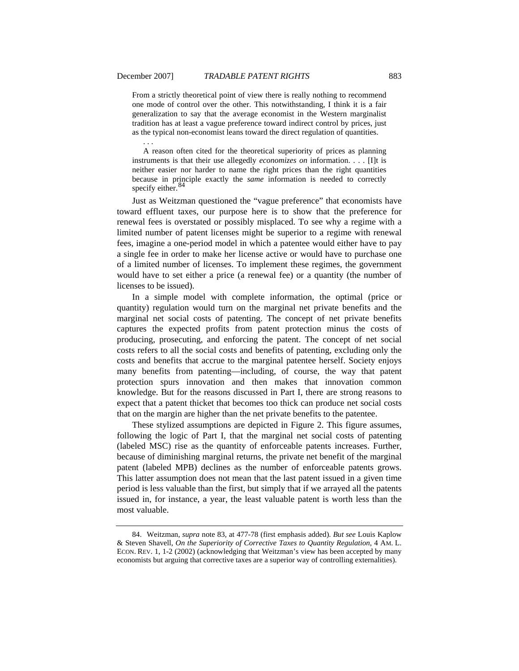From a strictly theoretical point of view there is really nothing to recommend one mode of control over the other. This notwithstanding, I think it is a fair generalization to say that the average economist in the Western marginalist tradition has at least a vague preference toward indirect control by prices, just as the typical non-economist leans toward the direct regulation of quantities.

 . . . A reason often cited for the theoretical superiority of prices as planning instruments is that their use allegedly *economizes on* information. . . . [I]t is neither easier nor harder to name the right prices than the right quantities because in principle exactly the *same* information is needed to correctly specify either. $\frac{8}{3}$ 

Just as Weitzman questioned the "vague preference" that economists have toward effluent taxes, our purpose here is to show that the preference for renewal fees is overstated or possibly misplaced. To see why a regime with a limited number of patent licenses might be superior to a regime with renewal fees, imagine a one-period model in which a patentee would either have to pay a single fee in order to make her license active or would have to purchase one of a limited number of licenses. To implement these regimes, the government would have to set either a price (a renewal fee) or a quantity (the number of licenses to be issued).

In a simple model with complete information, the optimal (price or quantity) regulation would turn on the marginal net private benefits and the marginal net social costs of patenting. The concept of net private benefits captures the expected profits from patent protection minus the costs of producing, prosecuting, and enforcing the patent. The concept of net social costs refers to all the social costs and benefits of patenting, excluding only the costs and benefits that accrue to the marginal patentee herself. Society enjoys many benefits from patenting—including, of course, the way that patent protection spurs innovation and then makes that innovation common knowledge. But for the reasons discussed in Part I, there are strong reasons to expect that a patent thicket that becomes too thick can produce net social costs that on the margin are higher than the net private benefits to the patentee.

These stylized assumptions are depicted in Figure 2. This figure assumes, following the logic of Part I, that the marginal net social costs of patenting (labeled MSC) rise as the quantity of enforceable patents increases. Further, because of diminishing marginal returns, the private net benefit of the marginal patent (labeled MPB) declines as the number of enforceable patents grows. This latter assumption does not mean that the last patent issued in a given time period is less valuable than the first, but simply that if we arrayed all the patents issued in, for instance, a year, the least valuable patent is worth less than the most valuable.

<span id="page-20-0"></span><sup>84.</sup> Weitzman, *supra* note 83, at 477-78 (first emphasis added). *But see* Louis Kaplow & Steven Shavell, *On the Superiority of Corrective Taxes to Quantity Regulation*, 4 AM. L. ECON. REV. 1, 1-2 (2002) (acknowledging that Weitzman's view has been accepted by many economists but arguing that corrective taxes are a superior way of controlling externalities).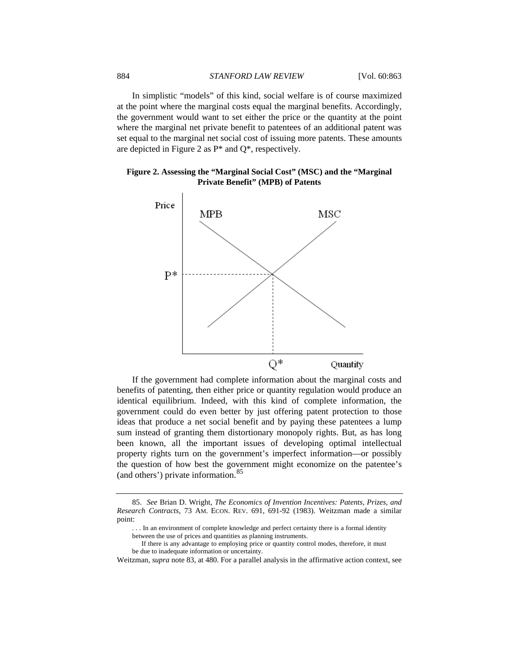In simplistic "models" of this kind, social welfare is of course maximized at the point where the marginal costs equal the marginal benefits. Accordingly, the government would want to set either the price or the quantity at the point where the marginal net private benefit to patentees of an additional patent was set equal to the marginal net social cost of issuing more patents. These amounts are depicted in Figure 2 as P\* and Q\*, respectively.

**Figure 2. Assessing the "Marginal Social Cost" (MSC) and the "Marginal Private Benefit" (MPB) of Patents**



If the government had complete information about the marginal costs and benefits of patenting, then either price or quantity regulation would produce an identical equilibrium. Indeed, with this kind of complete information, the government could do even better by just offering patent protection to those ideas that produce a net social benefit and by paying these patentees a lump sum instead of granting them distortionary monopoly rights. But, as has long been known, all the important issues of developing optimal intellectual property rights turn on the government's imperfect information—or possibly the question of how best the government might economize on the patentee's (and others') private information.[85](#page-21-0)

- If there is any advantage to employing price or quantity control modes, therefore, it must be due to inadequate information or uncertainty.
- Weitzman, *supra* note 83, at 480. For a parallel analysis in the affirmative action context, see

<span id="page-21-0"></span><sup>85.</sup> *See* Brian D. Wright, *The Economics of Invention Incentives: Patents, Prizes, and Research Contracts*, 73 AM. ECON. REV. 691, 691-92 (1983). Weitzman made a similar point:

<sup>. . .</sup> In an environment of complete knowledge and perfect certainty there is a formal identity between the use of prices and quantities as planning instruments.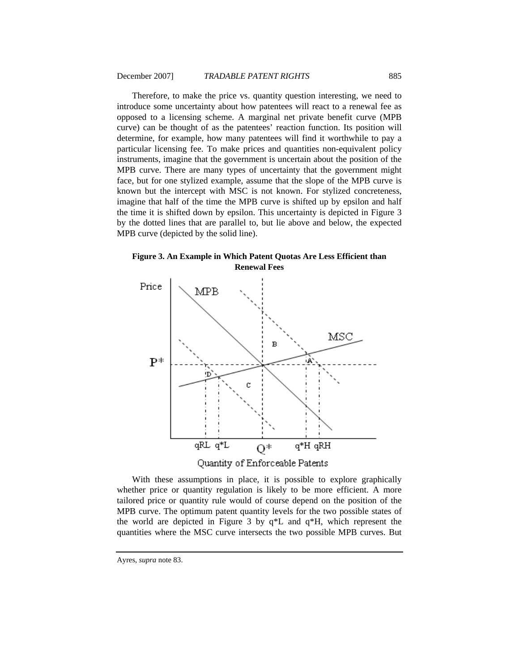Therefore, to make the price vs. quantity question interesting, we need to introduce some uncertainty about how patentees will react to a renewal fee as opposed to a licensing scheme. A marginal net private benefit curve (MPB curve) can be thought of as the patentees' reaction function. Its position will determine, for example, how many patentees will find it worthwhile to pay a particular licensing fee. To make prices and quantities non-equivalent policy instruments, imagine that the government is uncertain about the position of the MPB curve. There are many types of uncertainty that the government might face, but for one stylized example, assume that the slope of the MPB curve is known but the intercept with MSC is not known. For stylized concreteness, imagine that half of the time the MPB curve is shifted up by epsilon and half the time it is shifted down by epsilon. This uncertainty is depicted in Figure 3 by the dotted lines that are parallel to, but lie above and below, the expected MPB curve (depicted by the solid line).

**Figure 3. An Example in Which Patent Quotas Are Less Efficient than Renewal Fees** 



With these assumptions in place, it is possible to explore graphically whether price or quantity regulation is likely to be more efficient. A more tailored price or quantity rule would of course depend on the position of the MPB curve. The optimum patent quantity levels for the two possible states of the world are depicted in Figure 3 by q\*L and q\*H, which represent the quantities where the MSC curve intersects the two possible MPB curves. But

Ayres, *supra* note 83.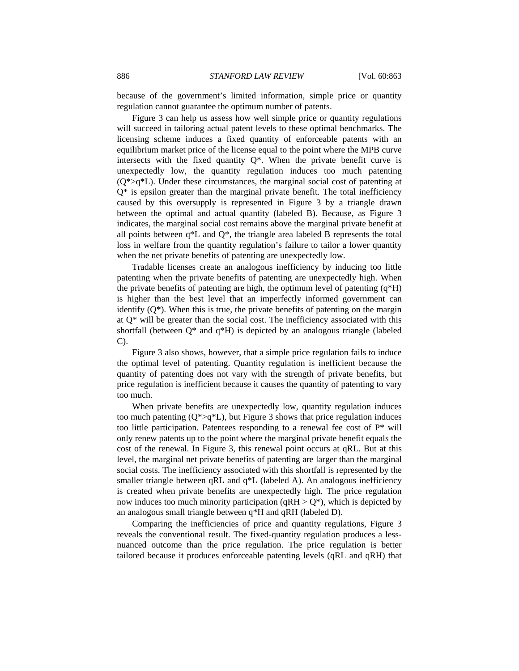because of the government's limited information, simple price or quantity regulation cannot guarantee the optimum number of patents.

Figure 3 can help us assess how well simple price or quantity regulations will succeed in tailoring actual patent levels to these optimal benchmarks. The licensing scheme induces a fixed quantity of enforceable patents with an equilibrium market price of the license equal to the point where the MPB curve intersects with the fixed quantity  $Q^*$ . When the private benefit curve is unexpectedly low, the quantity regulation induces too much patenting  $(Q^* > q^*L)$ . Under these circumstances, the marginal social cost of patenting at  $Q^*$  is epsilon greater than the marginal private benefit. The total inefficiency caused by this oversupply is represented in Figure 3 by a triangle drawn between the optimal and actual quantity (labeled B). Because, as Figure 3 indicates, the marginal social cost remains above the marginal private benefit at all points between  $q^*L$  and  $Q^*$ , the triangle area labeled B represents the total loss in welfare from the quantity regulation's failure to tailor a lower quantity when the net private benefits of patenting are unexpectedly low.

Tradable licenses create an analogous inefficiency by inducing too little patenting when the private benefits of patenting are unexpectedly high. When the private benefits of patenting are high, the optimum level of patenting  $(q*H)$ is higher than the best level that an imperfectly informed government can identify (Q\*). When this is true, the private benefits of patenting on the margin at Q\* will be greater than the social cost. The inefficiency associated with this shortfall (between  $Q^*$  and  $q^*H$ ) is depicted by an analogous triangle (labeled C).

Figure 3 also shows, however, that a simple price regulation fails to induce the optimal level of patenting. Quantity regulation is inefficient because the quantity of patenting does not vary with the strength of private benefits, but price regulation is inefficient because it causes the quantity of patenting to vary too much.

When private benefits are unexpectedly low, quantity regulation induces too much patenting  $(Q^*>q^*L)$ , but Figure 3 shows that price regulation induces too little participation. Patentees responding to a renewal fee cost of  $P^*$  will only renew patents up to the point where the marginal private benefit equals the cost of the renewal. In Figure 3, this renewal point occurs at qRL. But at this level, the marginal net private benefits of patenting are larger than the marginal social costs. The inefficiency associated with this shortfall is represented by the smaller triangle between qRL and q<sup>\*</sup>L (labeled A). An analogous inefficiency is created when private benefits are unexpectedly high. The price regulation now induces too much minority participation (qRH  $> Q^*$ ), which is depicted by an analogous small triangle between q\*H and qRH (labeled D).

Comparing the inefficiencies of price and quantity regulations, Figure 3 reveals the conventional result. The fixed-quantity regulation produces a lessnuanced outcome than the price regulation. The price regulation is better tailored because it produces enforceable patenting levels (qRL and qRH) that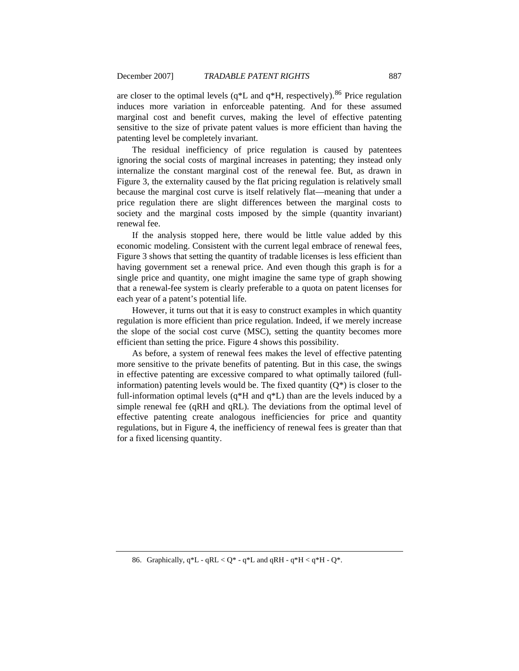are closer to the optimal levels ( $q*L$  and  $q*H$ , respectively).<sup>[86](#page-24-0)</sup> Price regulation induces more variation in enforceable patenting. And for these assumed marginal cost and benefit curves, making the level of effective patenting sensitive to the size of private patent values is more efficient than having the patenting level be completely invariant.

The residual inefficiency of price regulation is caused by patentees ignoring the social costs of marginal increases in patenting; they instead only internalize the constant marginal cost of the renewal fee. But, as drawn in Figure 3, the externality caused by the flat pricing regulation is relatively small because the marginal cost curve is itself relatively flat—meaning that under a price regulation there are slight differences between the marginal costs to society and the marginal costs imposed by the simple (quantity invariant) renewal fee.

If the analysis stopped here, there would be little value added by this economic modeling. Consistent with the current legal embrace of renewal fees, Figure 3 shows that setting the quantity of tradable licenses is less efficient than having government set a renewal price. And even though this graph is for a single price and quantity, one might imagine the same type of graph showing that a renewal-fee system is clearly preferable to a quota on patent licenses for each year of a patent's potential life.

However, it turns out that it is easy to construct examples in which quantity regulation is more efficient than price regulation. Indeed, if we merely increase the slope of the social cost curve (MSC), setting the quantity becomes more efficient than setting the price. Figure 4 shows this possibility.

As before, a system of renewal fees makes the level of effective patenting more sensitive to the private benefits of patenting. But in this case, the swings in effective patenting are excessive compared to what optimally tailored (fullinformation) patenting levels would be. The fixed quantity  $(Q^*)$  is closer to the full-information optimal levels (q\*H and q\*L) than are the levels induced by a simple renewal fee (qRH and qRL). The deviations from the optimal level of effective patenting create analogous inefficiencies for price and quantity regulations, but in Figure 4, the inefficiency of renewal fees is greater than that for a fixed licensing quantity.

<span id="page-24-0"></span><sup>86.</sup> Graphically,  $q^{\ast}L - qRL < Q^* - q^{\ast}L$  and  $qRH - q^{\ast}H < q^{\ast}H - Q^*$ .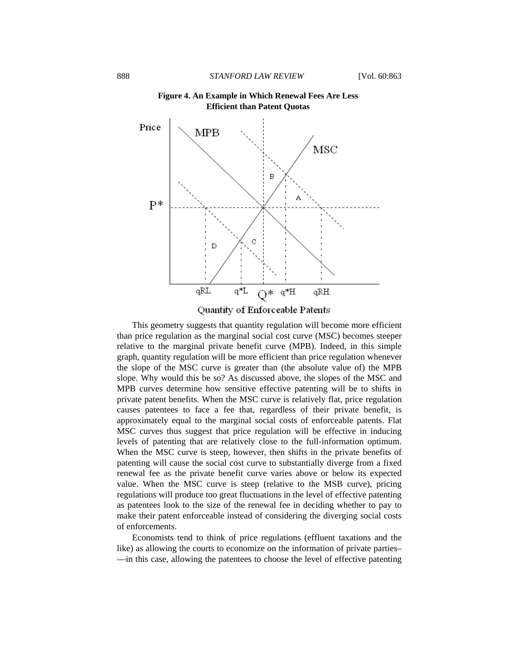

**Figure 4. An Example in Which Renewal Fees Are Less Efficient than Patent Quotas** 



This geometry suggests that quantity regulation will become more efficient than price regulation as the marginal social cost curve (MSC) becomes steeper relative to the marginal private benefit curve (MPB). Indeed, in this simple graph, quantity regulation will be more efficient than price regulation whenever the slope of the MSC curve is greater than (the absolute value of) the MPB slope. Why would this be so? As discussed above, the slopes of the MSC and MPB curves determine how sensitive effective patenting will be to shifts in private patent benefits. When the MSC curve is relatively flat, price regulation causes patentees to face a fee that, regardless of their private benefit, is approximately equal to the marginal social costs of enforceable patents. Flat MSC curves thus suggest that price regulation will be effective in inducing levels of patenting that are relatively close to the full-information optimum. When the MSC curve is steep, however, then shifts in the private benefits of patenting will cause the social cost curve to substantially diverge from a fixed renewal fee as the private benefit curve varies above or below its expected value. When the MSC curve is steep (relative to the MSB curve), pricing regulations will produce too great fluctuations in the level of effective patenting as patentees look to the size of the renewal fee in deciding whether to pay to make their patent enforceable instead of considering the diverging social costs of enforcements.

Economists tend to think of price regulations (effluent taxations and the like) as allowing the courts to economize on the information of private parties– —in this case, allowing the patentees to choose the level of effective patenting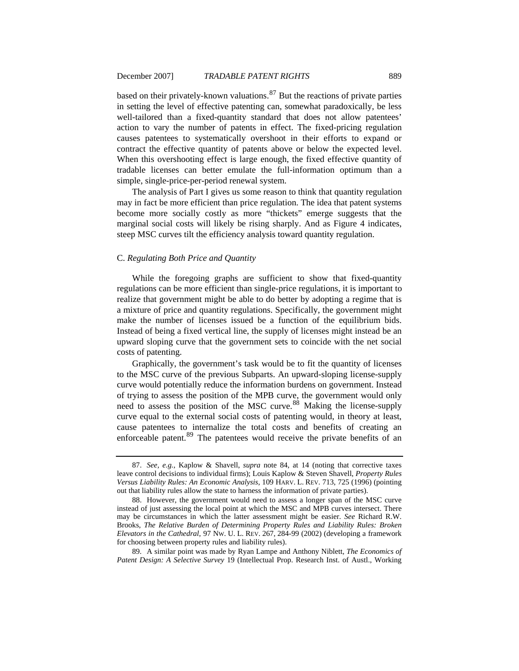<span id="page-26-0"></span>based on their privately-known valuations. $87$  But the reactions of private parties in setting the level of effective patenting can, somewhat paradoxically, be less well-tailored than a fixed-quantity standard that does not allow patentees' action to vary the number of patents in effect. The fixed-pricing regulation causes patentees to systematically overshoot in their efforts to expand or contract the effective quantity of patents above or below the expected level. When this overshooting effect is large enough, the fixed effective quantity of tradable licenses can better emulate the full-information optimum than a simple, single-price-per-period renewal system.

The analysis of Part I gives us some reason to think that quantity regulation may in fact be more efficient than price regulation. The idea that patent systems become more socially costly as more "thickets" emerge suggests that the marginal social costs will likely be rising sharply. And as Figure 4 indicates, steep MSC curves tilt the efficiency analysis toward quantity regulation.

#### C. *Regulating Both Price and Quantity*

While the foregoing graphs are sufficient to show that fixed-quantity regulations can be more efficient than single-price regulations, it is important to realize that government might be able to do better by adopting a regime that is a mixture of price and quantity regulations. Specifically, the government might make the number of licenses issued be a function of the equilibrium bids. Instead of being a fixed vertical line, the supply of licenses might instead be an upward sloping curve that the government sets to coincide with the net social costs of patenting.

Graphically, the government's task would be to fit the quantity of licenses to the MSC curve of the previous Subparts. An upward-sloping license-supply curve would potentially reduce the information burdens on government. Instead of trying to assess the position of the MPB curve, the government would only need to assess the position of the MSC curve.<sup>[88](#page-26-2)</sup> Making the license-supply curve equal to the external social costs of patenting would, in theory at least, cause patentees to internalize the total costs and benefits of creating an enforceable patent.<sup>[89](#page-26-3)</sup> The patentees would receive the private benefits of an

<span id="page-26-3"></span>89. A similar point was made by Ryan Lampe and Anthony Niblett, *The Economics of Patent Design: A Selective Survey* 19 (Intellectual Prop. Research Inst. of Austl., Working

<span id="page-26-1"></span><sup>87.</sup> *See, e.g.*, Kaplow & Shavell, *supra* note 84, at 14 (noting that corrective taxes leave control decisions to individual firms); Louis Kaplow & Steven Shavell, *Property Rules Versus Liability Rules: An Economic Analysis*, 109 HARV. L. REV. 713, 725 (1996) (pointing out that liability rules allow the state to harness the information of private parties).

<span id="page-26-2"></span><sup>88.</sup> However, the government would need to assess a longer span of the MSC curve instead of just assessing the local point at which the MSC and MPB curves intersect. There may be circumstances in which the latter assessment might be easier. *See* Richard R.W. Brooks, *The Relative Burden of Determining Property Rules and Liability Rules: Broken Elevators in the Cathedral*, 97 NW. U. L. REV. 267, 284-99 (2002) (developing a framework for choosing between property rules and liability rules).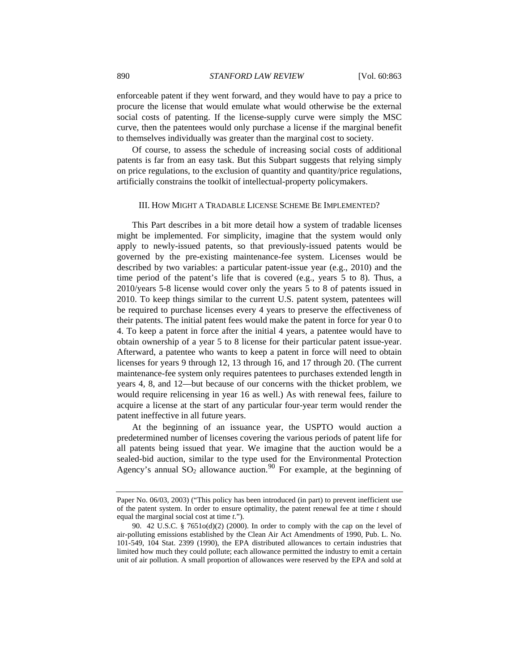<span id="page-27-0"></span>enforceable patent if they went forward, and they would have to pay a price to procure the license that would emulate what would otherwise be the external social costs of patenting. If the license-supply curve were simply the MSC curve, then the patentees would only purchase a license if the marginal benefit to themselves individually was greater than the marginal cost to society.

Of course, to assess the schedule of increasing social costs of additional patents is far from an easy task. But this Subpart suggests that relying simply on price regulations, to the exclusion of quantity and quantity/price regulations, artificially constrains the toolkit of intellectual-property policymakers.

# III. HOW MIGHT A TRADABLE LICENSE SCHEME BE IMPLEMENTED?

This Part describes in a bit more detail how a system of tradable licenses might be implemented. For simplicity, imagine that the system would only apply to newly-issued patents, so that previously-issued patents would be governed by the pre-existing maintenance-fee system. Licenses would be described by two variables: a particular patent-issue year (e.g., 2010) and the time period of the patent's life that is covered (e.g., years 5 to 8). Thus, a 2010/years 5-8 license would cover only the years 5 to 8 of patents issued in 2010. To keep things similar to the current U.S. patent system, patentees will be required to purchase licenses every 4 years to preserve the effectiveness of their patents. The initial patent fees would make the patent in force for year 0 to 4. To keep a patent in force after the initial 4 years, a patentee would have to obtain ownership of a year 5 to 8 license for their particular patent issue-year. Afterward, a patentee who wants to keep a patent in force will need to obtain licenses for years 9 through 12, 13 through 16, and 17 through 20. (The current maintenance-fee system only requires patentees to purchases extended length in years 4, 8, and 12—but because of our concerns with the thicket problem, we would require relicensing in year 16 as well.) As with renewal fees, failure to acquire a license at the start of any particular four-year term would render the patent ineffective in all future years.

At the beginning of an issuance year, the USPTO would auction a predetermined number of licenses covering the various periods of patent life for all patents being issued that year. We imagine that the auction would be a sealed-bid auction, similar to the type used for the Environmental Protection Agency's annual  $SO_2$  allowance auction.<sup>[90](#page-27-1)</sup> For example, at the beginning of

Paper No. 06/03, 2003) ("This policy has been introduced (in part) to prevent inefficient use of the patent system. In order to ensure optimality, the patent renewal fee at time *t* should equal the marginal social cost at time *t*.").

<span id="page-27-1"></span><sup>90. 42</sup> U.S.C. § 7651o(d)(2) (2000). In order to comply with the cap on the level of air-polluting emissions established by the Clean Air Act Amendments of 1990, Pub. L. No. 101-549, 104 Stat. 2399 (1990), the EPA distributed allowances to certain industries that limited how much they could pollute; each allowance permitted the industry to emit a certain unit of air pollution. A small proportion of allowances were reserved by the EPA and sold at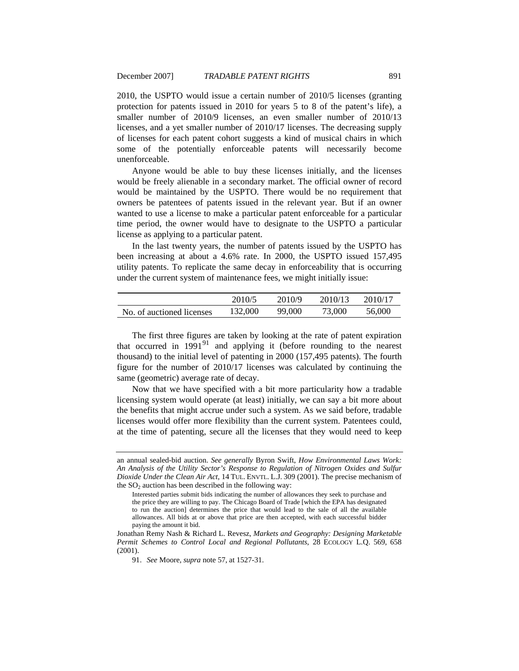2010, the USPTO would issue a certain number of 2010/5 licenses (granting protection for patents issued in 2010 for years 5 to 8 of the patent's life), a smaller number of 2010/9 licenses, an even smaller number of 2010/13 licenses, and a yet smaller number of 2010/17 licenses. The decreasing supply of licenses for each patent cohort suggests a kind of musical chairs in which some of the potentially enforceable patents will necessarily become unenforceable.

Anyone would be able to buy these licenses initially, and the licenses would be freely alienable in a secondary market. The official owner of record would be maintained by the USPTO. There would be no requirement that owners be patentees of patents issued in the relevant year. But if an owner wanted to use a license to make a particular patent enforceable for a particular time period, the owner would have to designate to the USPTO a particular license as applying to a particular patent.

In the last twenty years, the number of patents issued by the USPTO has been increasing at about a 4.6% rate. In 2000, the USPTO issued 157,495 utility patents. To replicate the same decay in enforceability that is occurring under the current system of maintenance fees, we might initially issue:

|                           | 2010/5  | 2010/9 | 2010/13 | 2010/17 |
|---------------------------|---------|--------|---------|---------|
| No. of auctioned licenses | 132,000 | 99,000 | 73,000  | 56,000  |

The first three figures are taken by looking at the rate of patent expiration that occurred in  $1991<sup>91</sup>$  $1991<sup>91</sup>$  $1991<sup>91</sup>$  and applying it (before rounding to the nearest thousand) to the initial level of patenting in 2000 (157,495 patents). The fourth figure for the number of 2010/17 licenses was calculated by continuing the same (geometric) average rate of decay.

Now that we have specified with a bit more particularity how a tradable licensing system would operate (at least) initially, we can say a bit more about the benefits that might accrue under such a system. As we said before, tradable licenses would offer more flexibility than the current system. Patentees could, at the time of patenting, secure all the licenses that they would need to keep

an annual sealed-bid auction. *See generally* Byron Swift, *How Environmental Laws Work: An Analysis of the Utility Sector's Response to Regulation of Nitrogen Oxides and Sulfur Dioxide Under the Clean Air Act*, 14 TUL. ENVTL. L.J. 309 (2001). The precise mechanism of the  $SO<sub>2</sub>$  auction has been described in the following way:

Interested parties submit bids indicating the number of allowances they seek to purchase and the price they are willing to pay. The Chicago Board of Trade [which the EPA has designated to run the auction] determines the price that would lead to the sale of all the available allowances. All bids at or above that price are then accepted, with each successful bidder paying the amount it bid.

<span id="page-28-0"></span>Jonathan Remy Nash & Richard L. Revesz, *Markets and Geography: Designing Marketable Permit Schemes to Control Local and Regional Pollutants*, 28 ECOLOGY L.Q. 569, 658 (2001).

<sup>91.</sup> *See* Moore, *supra* note 57, at 1527-31.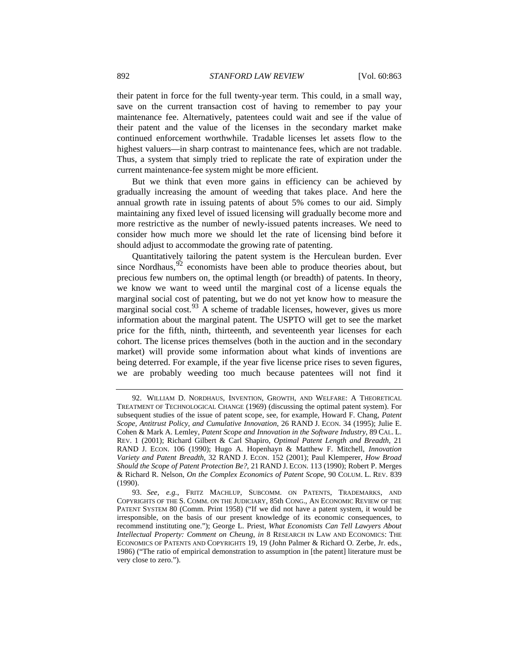their patent in force for the full twenty-year term. This could, in a small way, save on the current transaction cost of having to remember to pay your maintenance fee. Alternatively, patentees could wait and see if the value of their patent and the value of the licenses in the secondary market make continued enforcement worthwhile. Tradable licenses let assets flow to the highest valuers—in sharp contrast to maintenance fees, which are not tradable. Thus, a system that simply tried to replicate the rate of expiration under the current maintenance-fee system might be more efficient.

But we think that even more gains in efficiency can be achieved by gradually increasing the amount of weeding that takes place. And here the annual growth rate in issuing patents of about 5% comes to our aid. Simply maintaining any fixed level of issued licensing will gradually become more and more restrictive as the number of newly-issued patents increases. We need to consider how much more we should let the rate of licensing bind before it should adjust to accommodate the growing rate of patenting.

Quantitatively tailoring the patent system is the Herculean burden. Ever since Nordhaus,  $92$  economists have been able to produce theories about, but precious few numbers on, the optimal length (or breadth) of patents. In theory, we know we want to weed until the marginal cost of a license equals the marginal social cost of patenting, but we do not yet know how to measure the marginal social cost.<sup>[93](#page-29-1)</sup> A scheme of tradable licenses, however, gives us more information about the marginal patent. The USPTO will get to see the market price for the fifth, ninth, thirteenth, and seventeenth year licenses for each cohort. The license prices themselves (both in the auction and in the secondary market) will provide some information about what kinds of inventions are being deterred. For example, if the year five license price rises to seven figures, we are probably weeding too much because patentees will not find it

<span id="page-29-0"></span><sup>92.</sup> WILLIAM D. NORDHAUS, INVENTION, GROWTH, AND WELFARE: A THEORETICAL TREATMENT OF TECHNOLOGICAL CHANGE (1969) (discussing the optimal patent system). For subsequent studies of the issue of patent scope, see, for example, Howard F. Chang, *Patent Scope, Antitrust Policy, and Cumulative Innovation*, 26 RAND J. ECON. 34 (1995); Julie E. Cohen & Mark A. Lemley, *Patent Scope and Innovation in the Software Industry*, 89 CAL. L. REV. 1 (2001); Richard Gilbert & Carl Shapiro, *Optimal Patent Length and Breadth*, 21 RAND J. ECON. 106 (1990); Hugo A. Hopenhayn & Matthew F. Mitchell, *Innovation Variety and Patent Breadth*, 32 RAND J. ECON. 152 (2001); Paul Klemperer, *How Broad Should the Scope of Patent Protection Be?*, 21 RAND J. ECON. 113 (1990); Robert P. Merges & Richard R. Nelson, *On the Complex Economics of Patent Scope*, 90 COLUM. L. REV. 839 (1990).

<span id="page-29-1"></span><sup>93.</sup> *See, e.g.*, FRITZ MACHLUP, SUBCOMM. ON PATENTS, TRADEMARKS, AND COPYRIGHTS OF THE S. COMM. ON THE JUDICIARY, 85th CONG., AN ECONOMIC REVIEW OF THE PATENT SYSTEM 80 (Comm. Print 1958) ("If we did not have a patent system, it would be irresponsible, on the basis of our present knowledge of its economic consequences, to recommend instituting one."); George L. Priest, *What Economists Can Tell Lawyers About Intellectual Property: Comment on Cheung*, *in* 8 RESEARCH IN LAW AND ECONOMICS: THE ECONOMICS OF PATENTS AND COPYRIGHTS 19, 19 (John Palmer & Richard O. Zerbe, Jr. eds., 1986) ("The ratio of empirical demonstration to assumption in [the patent] literature must be very close to zero.").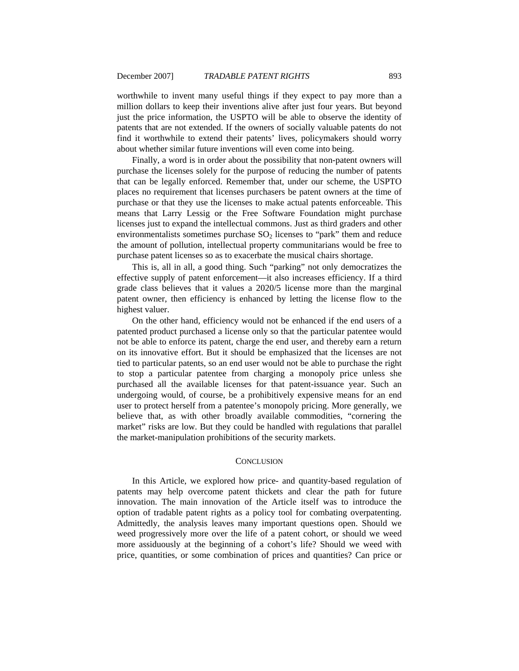<span id="page-30-0"></span>worthwhile to invent many useful things if they expect to pay more than a million dollars to keep their inventions alive after just four years. But beyond just the price information, the USPTO will be able to observe the identity of patents that are not extended. If the owners of socially valuable patents do not find it worthwhile to extend their patents' lives, policymakers should worry about whether similar future inventions will even come into being.

Finally, a word is in order about the possibility that non-patent owners will purchase the licenses solely for the purpose of reducing the number of patents that can be legally enforced. Remember that, under our scheme, the USPTO places no requirement that licenses purchasers be patent owners at the time of purchase or that they use the licenses to make actual patents enforceable. This means that Larry Lessig or the Free Software Foundation might purchase licenses just to expand the intellectual commons. Just as third graders and other environmentalists sometimes purchase  $SO<sub>2</sub>$  licenses to "park" them and reduce the amount of pollution, intellectual property communitarians would be free to purchase patent licenses so as to exacerbate the musical chairs shortage.

This is, all in all, a good thing. Such "parking" not only democratizes the effective supply of patent enforcement—it also increases efficiency. If a third grade class believes that it values a 2020/5 license more than the marginal patent owner, then efficiency is enhanced by letting the license flow to the highest valuer.

On the other hand, efficiency would not be enhanced if the end users of a patented product purchased a license only so that the particular patentee would not be able to enforce its patent, charge the end user, and thereby earn a return on its innovative effort. But it should be emphasized that the licenses are not tied to particular patents, so an end user would not be able to purchase the right to stop a particular patentee from charging a monopoly price unless she purchased all the available licenses for that patent-issuance year. Such an undergoing would, of course, be a prohibitively expensive means for an end user to protect herself from a patentee's monopoly pricing. More generally, we believe that, as with other broadly available commodities, "cornering the market" risks are low. But they could be handled with regulations that parallel the market-manipulation prohibitions of the security markets.

# **CONCLUSION**

In this Article, we explored how price- and quantity-based regulation of patents may help overcome patent thickets and clear the path for future innovation. The main innovation of the Article itself was to introduce the option of tradable patent rights as a policy tool for combating overpatenting. Admittedly, the analysis leaves many important questions open. Should we weed progressively more over the life of a patent cohort, or should we weed more assiduously at the beginning of a cohort's life? Should we weed with price, quantities, or some combination of prices and quantities? Can price or